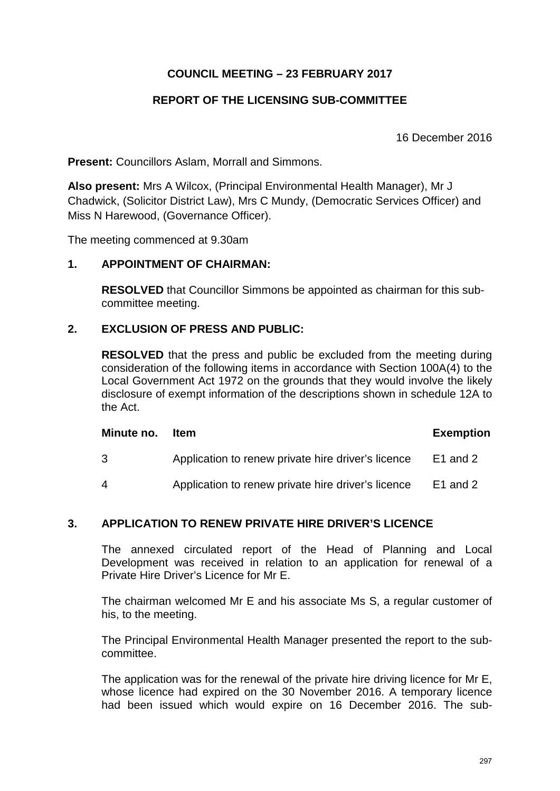# **COUNCIL MEETING – 23 FEBRUARY 2017**

# **REPORT OF THE LICENSING SUB-COMMITTEE**

16 December 2016

**Present:** Councillors Aslam, Morrall and Simmons.

**Also present:** Mrs A Wilcox, (Principal Environmental Health Manager), Mr J Chadwick, (Solicitor District Law), Mrs C Mundy, (Democratic Services Officer) and Miss N Harewood, (Governance Officer).

The meeting commenced at 9.30am

## **1. APPOINTMENT OF CHAIRMAN:**

**RESOLVED** that Councillor Simmons be appointed as chairman for this subcommittee meeting.

# **2. EXCLUSION OF PRESS AND PUBLIC:**

**RESOLVED** that the press and public be excluded from the meeting during consideration of the following items in accordance with Section 100A(4) to the Local Government Act 1972 on the grounds that they would involve the likely disclosure of exempt information of the descriptions shown in schedule 12A to the Act.

#### **Minute no.** Item **Exemption**

3 Application to renew private hire driver's licence E1 and 2

4 Application to renew private hire driver's licence E1 and 2

#### **3. APPLICATION TO RENEW PRIVATE HIRE DRIVER'S LICENCE**

The annexed circulated report of the Head of Planning and Local Development was received in relation to an application for renewal of a Private Hire Driver's Licence for Mr E.

The chairman welcomed Mr E and his associate Ms S, a regular customer of his, to the meeting.

The Principal Environmental Health Manager presented the report to the subcommittee.

The application was for the renewal of the private hire driving licence for Mr E, whose licence had expired on the 30 November 2016. A temporary licence had been issued which would expire on 16 December 2016. The sub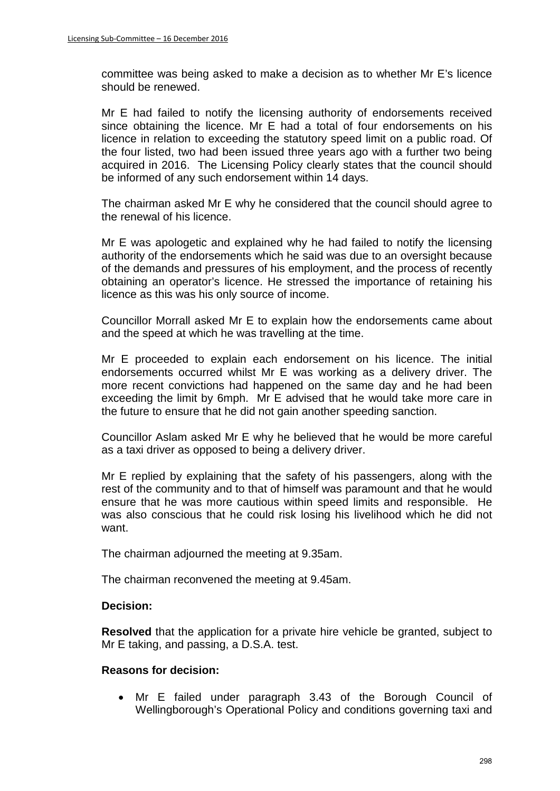committee was being asked to make a decision as to whether Mr E's licence should be renewed.

Mr E had failed to notify the licensing authority of endorsements received since obtaining the licence. Mr E had a total of four endorsements on his licence in relation to exceeding the statutory speed limit on a public road. Of the four listed, two had been issued three years ago with a further two being acquired in 2016. The Licensing Policy clearly states that the council should be informed of any such endorsement within 14 days.

The chairman asked Mr E why he considered that the council should agree to the renewal of his licence.

Mr E was apologetic and explained why he had failed to notify the licensing authority of the endorsements which he said was due to an oversight because of the demands and pressures of his employment, and the process of recently obtaining an operator's licence. He stressed the importance of retaining his licence as this was his only source of income.

Councillor Morrall asked Mr E to explain how the endorsements came about and the speed at which he was travelling at the time.

Mr E proceeded to explain each endorsement on his licence. The initial endorsements occurred whilst Mr E was working as a delivery driver. The more recent convictions had happened on the same day and he had been exceeding the limit by 6mph. Mr E advised that he would take more care in the future to ensure that he did not gain another speeding sanction.

Councillor Aslam asked Mr E why he believed that he would be more careful as a taxi driver as opposed to being a delivery driver.

Mr E replied by explaining that the safety of his passengers, along with the rest of the community and to that of himself was paramount and that he would ensure that he was more cautious within speed limits and responsible. He was also conscious that he could risk losing his livelihood which he did not want.

The chairman adjourned the meeting at 9.35am.

The chairman reconvened the meeting at 9.45am.

#### **Decision:**

**Resolved** that the application for a private hire vehicle be granted, subject to Mr E taking, and passing, a D.S.A. test.

#### **Reasons for decision:**

• Mr E failed under paragraph 3.43 of the Borough Council of Wellingborough's Operational Policy and conditions governing taxi and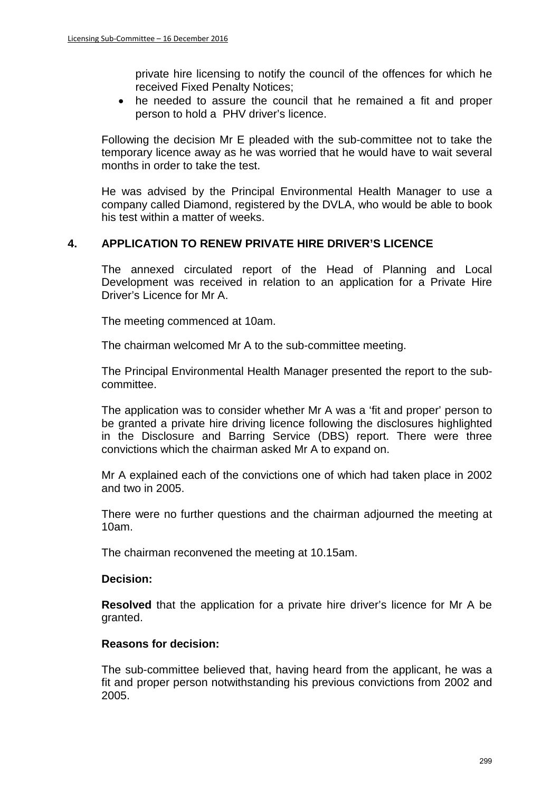private hire licensing to notify the council of the offences for which he received Fixed Penalty Notices;

• he needed to assure the council that he remained a fit and proper person to hold a PHV driver's licence.

Following the decision Mr E pleaded with the sub-committee not to take the temporary licence away as he was worried that he would have to wait several months in order to take the test.

He was advised by the Principal Environmental Health Manager to use a company called Diamond, registered by the DVLA, who would be able to book his test within a matter of weeks.

## **4. APPLICATION TO RENEW PRIVATE HIRE DRIVER'S LICENCE**

The annexed circulated report of the Head of Planning and Local Development was received in relation to an application for a Private Hire Driver's Licence for Mr A.

The meeting commenced at 10am.

The chairman welcomed Mr A to the sub-committee meeting.

The Principal Environmental Health Manager presented the report to the subcommittee.

The application was to consider whether Mr A was a 'fit and proper' person to be granted a private hire driving licence following the disclosures highlighted in the Disclosure and Barring Service (DBS) report. There were three convictions which the chairman asked Mr A to expand on.

Mr A explained each of the convictions one of which had taken place in 2002 and two in 2005.

There were no further questions and the chairman adjourned the meeting at 10am.

The chairman reconvened the meeting at 10.15am.

## **Decision:**

**Resolved** that the application for a private hire driver's licence for Mr A be granted.

## **Reasons for decision:**

The sub-committee believed that, having heard from the applicant, he was a fit and proper person notwithstanding his previous convictions from 2002 and 2005.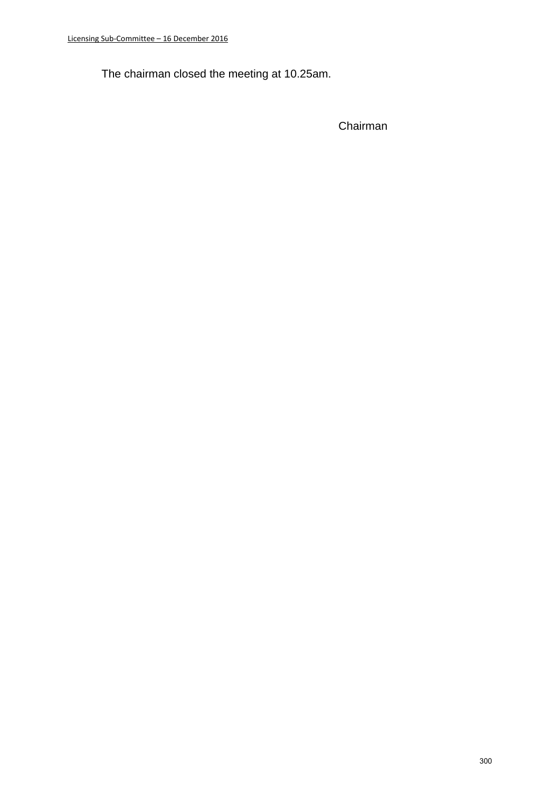The chairman closed the meeting at 10.25am.

Chairman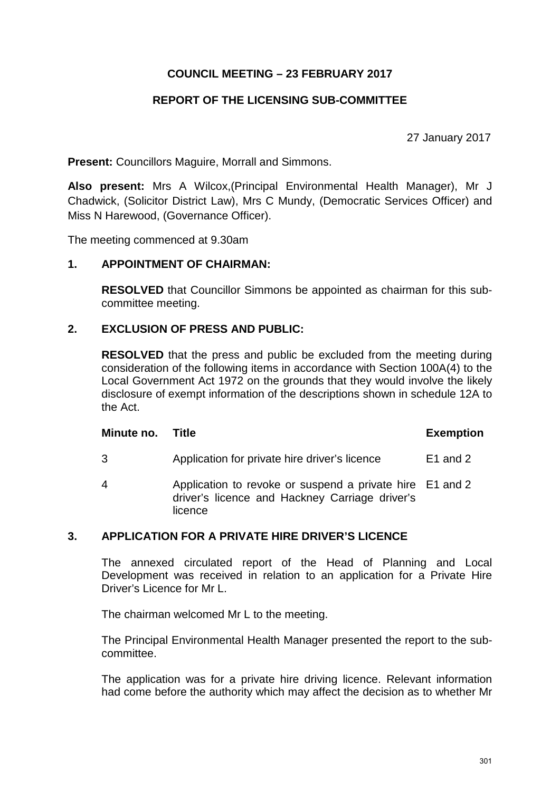# **COUNCIL MEETING – 23 FEBRUARY 2017**

# **REPORT OF THE LICENSING SUB-COMMITTEE**

27 January 2017

**Present:** Councillors Maguire, Morrall and Simmons.

**Also present:** Mrs A Wilcox,(Principal Environmental Health Manager), Mr J Chadwick, (Solicitor District Law), Mrs C Mundy, (Democratic Services Officer) and Miss N Harewood, (Governance Officer).

The meeting commenced at 9.30am

## **1. APPOINTMENT OF CHAIRMAN:**

**RESOLVED** that Councillor Simmons be appointed as chairman for this subcommittee meeting.

# **2. EXCLUSION OF PRESS AND PUBLIC:**

**RESOLVED** that the press and public be excluded from the meeting during consideration of the following items in accordance with Section 100A(4) to the Local Government Act 1972 on the grounds that they would involve the likely disclosure of exempt information of the descriptions shown in schedule 12A to the Act.

#### **Minute no.** Title **Exemption**

- 3 Application for private hire driver's licence E1 and 2
- 4 Application to revoke or suspend a private hire E1 and 2 driver's licence and Hackney Carriage driver's licence

#### **3. APPLICATION FOR A PRIVATE HIRE DRIVER'S LICENCE**

The annexed circulated report of the Head of Planning and Local Development was received in relation to an application for a Private Hire Driver's Licence for Mr L.

The chairman welcomed Mr L to the meeting.

The Principal Environmental Health Manager presented the report to the subcommittee.

The application was for a private hire driving licence. Relevant information had come before the authority which may affect the decision as to whether Mr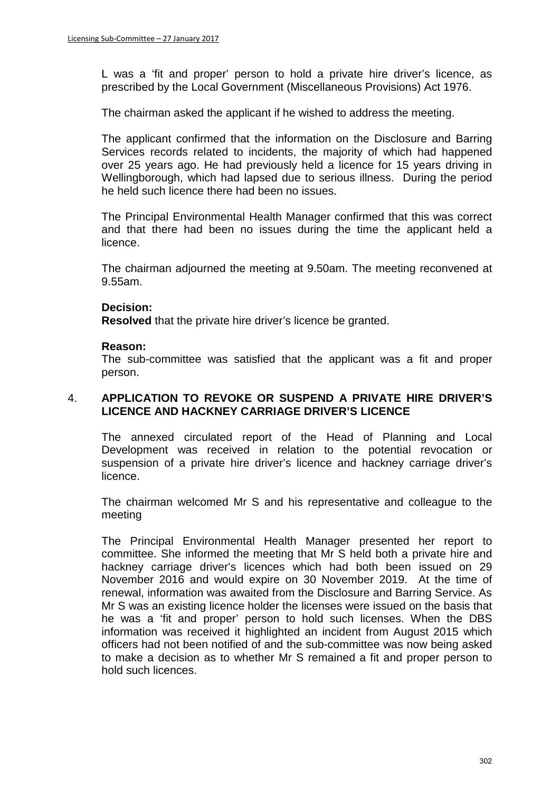L was a 'fit and proper' person to hold a private hire driver's licence, as prescribed by the Local Government (Miscellaneous Provisions) Act 1976.

The chairman asked the applicant if he wished to address the meeting.

The applicant confirmed that the information on the Disclosure and Barring Services records related to incidents, the majority of which had happened over 25 years ago. He had previously held a licence for 15 years driving in Wellingborough, which had lapsed due to serious illness. During the period he held such licence there had been no issues.

The Principal Environmental Health Manager confirmed that this was correct and that there had been no issues during the time the applicant held a licence.

The chairman adjourned the meeting at 9.50am. The meeting reconvened at 9.55am.

#### **Decision:**

**Resolved** that the private hire driver's licence be granted.

#### **Reason:**

The sub-committee was satisfied that the applicant was a fit and proper person.

## 4. **APPLICATION TO REVOKE OR SUSPEND A PRIVATE HIRE DRIVER'S LICENCE AND HACKNEY CARRIAGE DRIVER'S LICENCE**

The annexed circulated report of the Head of Planning and Local Development was received in relation to the potential revocation or suspension of a private hire driver's licence and hackney carriage driver's licence.

The chairman welcomed Mr S and his representative and colleague to the meeting

The Principal Environmental Health Manager presented her report to committee. She informed the meeting that Mr S held both a private hire and hackney carriage driver's licences which had both been issued on 29 November 2016 and would expire on 30 November 2019. At the time of renewal, information was awaited from the Disclosure and Barring Service. As Mr S was an existing licence holder the licenses were issued on the basis that he was a 'fit and proper' person to hold such licenses. When the DBS information was received it highlighted an incident from August 2015 which officers had not been notified of and the sub-committee was now being asked to make a decision as to whether Mr S remained a fit and proper person to hold such licences.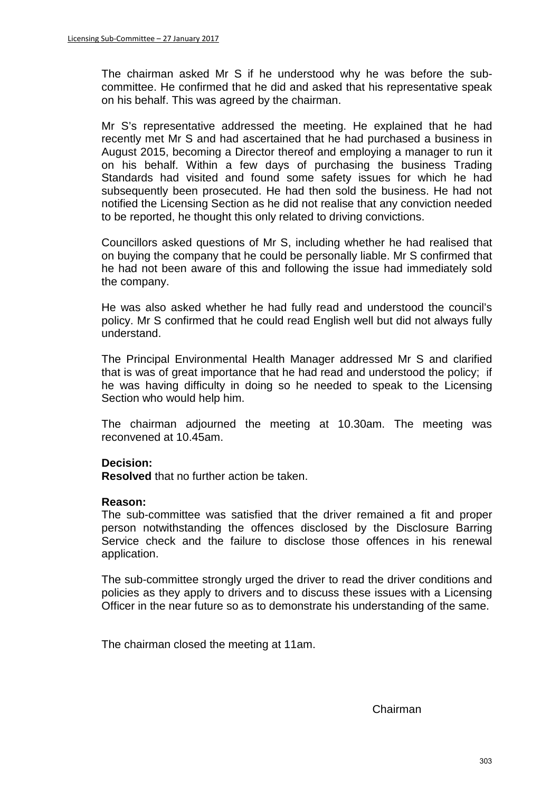The chairman asked Mr S if he understood why he was before the subcommittee. He confirmed that he did and asked that his representative speak on his behalf. This was agreed by the chairman.

Mr S's representative addressed the meeting. He explained that he had recently met Mr S and had ascertained that he had purchased a business in August 2015, becoming a Director thereof and employing a manager to run it on his behalf. Within a few days of purchasing the business Trading Standards had visited and found some safety issues for which he had subsequently been prosecuted. He had then sold the business. He had not notified the Licensing Section as he did not realise that any conviction needed to be reported, he thought this only related to driving convictions.

Councillors asked questions of Mr S, including whether he had realised that on buying the company that he could be personally liable. Mr S confirmed that he had not been aware of this and following the issue had immediately sold the company.

He was also asked whether he had fully read and understood the council's policy. Mr S confirmed that he could read English well but did not always fully understand.

The Principal Environmental Health Manager addressed Mr S and clarified that is was of great importance that he had read and understood the policy; if he was having difficulty in doing so he needed to speak to the Licensing Section who would help him.

The chairman adjourned the meeting at 10.30am. The meeting was reconvened at 10.45am.

#### **Decision:**

**Resolved** that no further action be taken.

#### **Reason:**

The sub-committee was satisfied that the driver remained a fit and proper person notwithstanding the offences disclosed by the Disclosure Barring Service check and the failure to disclose those offences in his renewal application.

The sub-committee strongly urged the driver to read the driver conditions and policies as they apply to drivers and to discuss these issues with a Licensing Officer in the near future so as to demonstrate his understanding of the same.

The chairman closed the meeting at 11am.

Chairman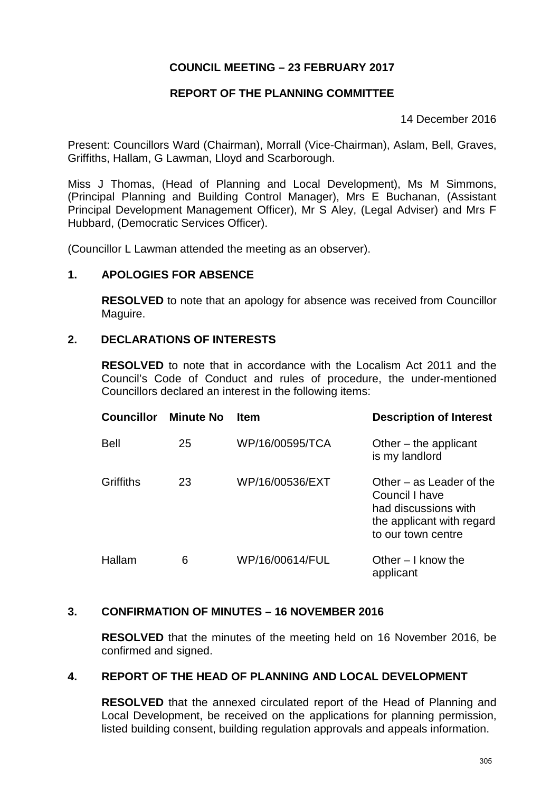# **COUNCIL MEETING – 23 FEBRUARY 2017**

# **REPORT OF THE PLANNING COMMITTEE**

14 December 2016

Present: Councillors Ward (Chairman), Morrall (Vice-Chairman), Aslam, Bell, Graves, Griffiths, Hallam, G Lawman, Lloyd and Scarborough.

Miss J Thomas, (Head of Planning and Local Development), Ms M Simmons, (Principal Planning and Building Control Manager), Mrs E Buchanan, (Assistant Principal Development Management Officer), Mr S Aley, (Legal Adviser) and Mrs F Hubbard, (Democratic Services Officer).

(Councillor L Lawman attended the meeting as an observer).

## **1. APOLOGIES FOR ABSENCE**

**RESOLVED** to note that an apology for absence was received from Councillor Maguire.

## **2. DECLARATIONS OF INTERESTS**

**RESOLVED** to note that in accordance with the Localism Act 2011 and the Council's Code of Conduct and rules of procedure, the under-mentioned Councillors declared an interest in the following items:

| <b>Councillor</b> | <b>Minute No</b> | <b>Item</b>     | <b>Description of Interest</b>                                                                                          |
|-------------------|------------------|-----------------|-------------------------------------------------------------------------------------------------------------------------|
| Bell              | 25               | WP/16/00595/TCA | Other $-$ the applicant<br>is my landlord                                                                               |
| Griffiths         | 23               | WP/16/00536/EXT | Other $-$ as Leader of the<br>Council I have<br>had discussions with<br>the applicant with regard<br>to our town centre |
| Hallam            | 6                | WP/16/00614/FUL | Other $-1$ know the<br>applicant                                                                                        |

## **3. CONFIRMATION OF MINUTES – 16 NOVEMBER 2016**

**RESOLVED** that the minutes of the meeting held on 16 November 2016, be confirmed and signed.

# **4. REPORT OF THE HEAD OF PLANNING AND LOCAL DEVELOPMENT**

**RESOLVED** that the annexed circulated report of the Head of Planning and Local Development, be received on the applications for planning permission, listed building consent, building regulation approvals and appeals information.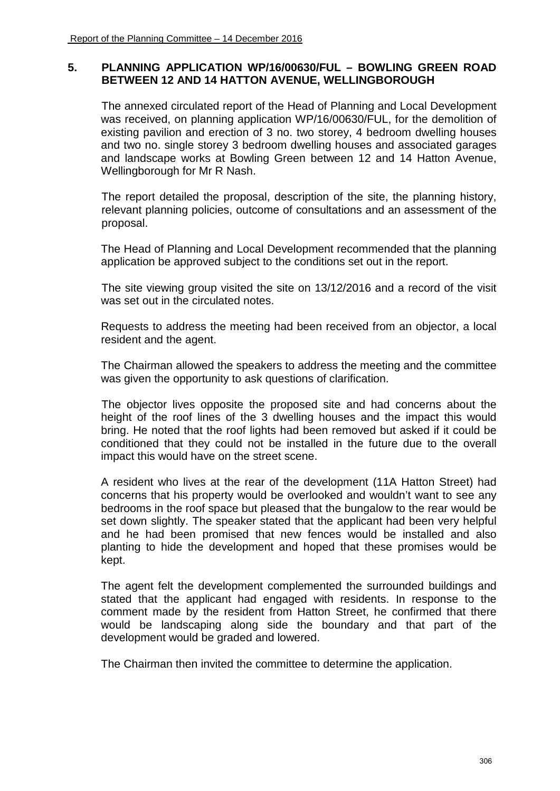## **5. PLANNING APPLICATION WP/16/00630/FUL – BOWLING GREEN ROAD BETWEEN 12 AND 14 HATTON AVENUE, WELLINGBOROUGH**

The annexed circulated report of the Head of Planning and Local Development was received, on planning application WP/16/00630/FUL, for the demolition of existing pavilion and erection of 3 no. two storey, 4 bedroom dwelling houses and two no. single storey 3 bedroom dwelling houses and associated garages and landscape works at Bowling Green between 12 and 14 Hatton Avenue, Wellingborough for Mr R Nash.

The report detailed the proposal, description of the site, the planning history, relevant planning policies, outcome of consultations and an assessment of the proposal.

The Head of Planning and Local Development recommended that the planning application be approved subject to the conditions set out in the report.

 The site viewing group visited the site on 13/12/2016 and a record of the visit was set out in the circulated notes.

 Requests to address the meeting had been received from an objector, a local resident and the agent.

The Chairman allowed the speakers to address the meeting and the committee was given the opportunity to ask questions of clarification.

 The objector lives opposite the proposed site and had concerns about the height of the roof lines of the 3 dwelling houses and the impact this would bring. He noted that the roof lights had been removed but asked if it could be conditioned that they could not be installed in the future due to the overall impact this would have on the street scene.

A resident who lives at the rear of the development (11A Hatton Street) had concerns that his property would be overlooked and wouldn't want to see any bedrooms in the roof space but pleased that the bungalow to the rear would be set down slightly. The speaker stated that the applicant had been very helpful and he had been promised that new fences would be installed and also planting to hide the development and hoped that these promises would be kept.

The agent felt the development complemented the surrounded buildings and stated that the applicant had engaged with residents. In response to the comment made by the resident from Hatton Street, he confirmed that there would be landscaping along side the boundary and that part of the development would be graded and lowered.

The Chairman then invited the committee to determine the application.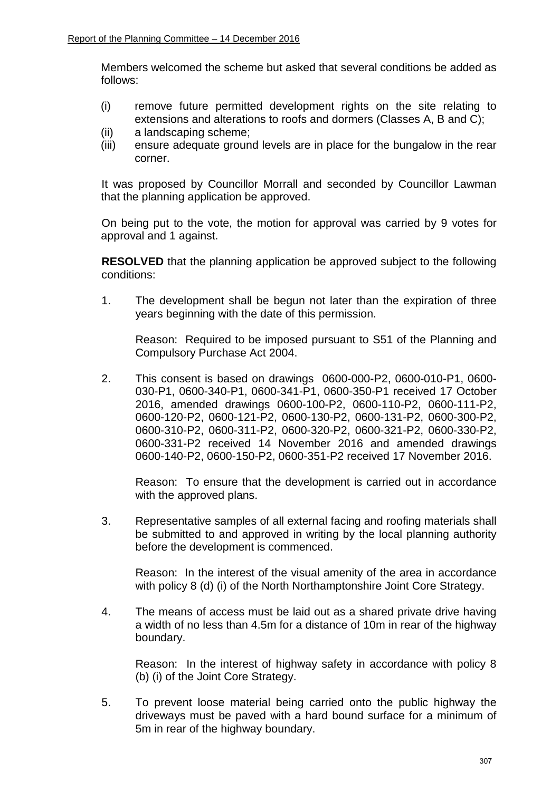Members welcomed the scheme but asked that several conditions be added as follows:

- (i) remove future permitted development rights on the site relating to extensions and alterations to roofs and dormers (Classes A, B and C);
- (ii) a landscaping scheme;
- (iii) ensure adequate ground levels are in place for the bungalow in the rear corner.

 It was proposed by Councillor Morrall and seconded by Councillor Lawman that the planning application be approved.

 On being put to the vote, the motion for approval was carried by 9 votes for approval and 1 against.

**RESOLVED** that the planning application be approved subject to the following conditions:

1. The development shall be begun not later than the expiration of three years beginning with the date of this permission.

Reason: Required to be imposed pursuant to S51 of the Planning and Compulsory Purchase Act 2004.

2. This consent is based on drawings 0600-000-P2, 0600-010-P1, 0600- 030-P1, 0600-340-P1, 0600-341-P1, 0600-350-P1 received 17 October 2016, amended drawings 0600-100-P2, 0600-110-P2, 0600-111-P2, 0600-120-P2, 0600-121-P2, 0600-130-P2, 0600-131-P2, 0600-300-P2, 0600-310-P2, 0600-311-P2, 0600-320-P2, 0600-321-P2, 0600-330-P2, 0600-331-P2 received 14 November 2016 and amended drawings 0600-140-P2, 0600-150-P2, 0600-351-P2 received 17 November 2016.

Reason: To ensure that the development is carried out in accordance with the approved plans.

3. Representative samples of all external facing and roofing materials shall be submitted to and approved in writing by the local planning authority before the development is commenced.

Reason: In the interest of the visual amenity of the area in accordance with policy 8 (d) (i) of the North Northamptonshire Joint Core Strategy.

4. The means of access must be laid out as a shared private drive having a width of no less than 4.5m for a distance of 10m in rear of the highway boundary.

Reason: In the interest of highway safety in accordance with policy 8 (b) (i) of the Joint Core Strategy.

5. To prevent loose material being carried onto the public highway the driveways must be paved with a hard bound surface for a minimum of 5m in rear of the highway boundary.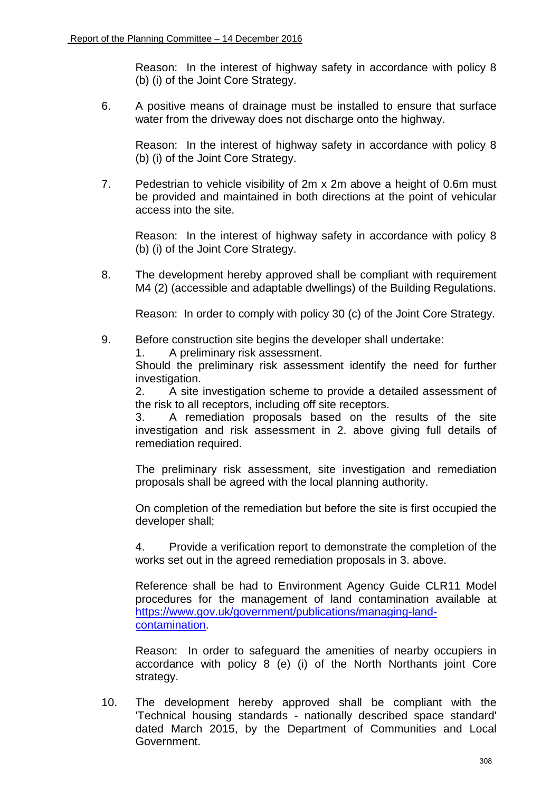Reason: In the interest of highway safety in accordance with policy 8 (b) (i) of the Joint Core Strategy.

6. A positive means of drainage must be installed to ensure that surface water from the driveway does not discharge onto the highway.

Reason: In the interest of highway safety in accordance with policy 8 (b) (i) of the Joint Core Strategy.

7. Pedestrian to vehicle visibility of 2m x 2m above a height of 0.6m must be provided and maintained in both directions at the point of vehicular access into the site.

Reason: In the interest of highway safety in accordance with policy 8 (b) (i) of the Joint Core Strategy.

8. The development hereby approved shall be compliant with requirement M4 (2) (accessible and adaptable dwellings) of the Building Regulations.

Reason: In order to comply with policy 30 (c) of the Joint Core Strategy.

- 9. Before construction site begins the developer shall undertake:
	- 1. A preliminary risk assessment.

Should the preliminary risk assessment identify the need for further investigation.

2. A site investigation scheme to provide a detailed assessment of the risk to all receptors, including off site receptors.

3. A remediation proposals based on the results of the site investigation and risk assessment in 2. above giving full details of remediation required.

The preliminary risk assessment, site investigation and remediation proposals shall be agreed with the local planning authority.

On completion of the remediation but before the site is first occupied the developer shall;

4. Provide a verification report to demonstrate the completion of the works set out in the agreed remediation proposals in 3. above.

Reference shall be had to Environment Agency Guide CLR11 Model procedures for the management of land contamination available at [https://www.gov.uk/government/publications/managing-land](https://www.gov.uk/government/publications/managing-land-contamination)[contamination.](https://www.gov.uk/government/publications/managing-land-contamination)

Reason: In order to safeguard the amenities of nearby occupiers in accordance with policy 8 (e) (i) of the North Northants joint Core strategy.

10. The development hereby approved shall be compliant with the 'Technical housing standards - nationally described space standard' dated March 2015, by the Department of Communities and Local Government.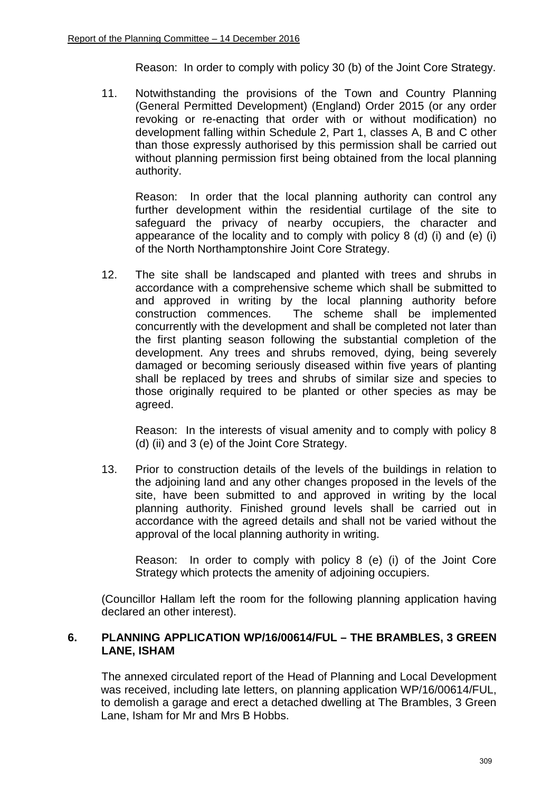Reason: In order to comply with policy 30 (b) of the Joint Core Strategy.

11. Notwithstanding the provisions of the Town and Country Planning (General Permitted Development) (England) Order 2015 (or any order revoking or re-enacting that order with or without modification) no development falling within Schedule 2, Part 1, classes A, B and C other than those expressly authorised by this permission shall be carried out without planning permission first being obtained from the local planning authority.

Reason: In order that the local planning authority can control any further development within the residential curtilage of the site to safeguard the privacy of nearby occupiers, the character and appearance of the locality and to comply with policy 8 (d) (i) and (e) (i) of the North Northamptonshire Joint Core Strategy.

12. The site shall be landscaped and planted with trees and shrubs in accordance with a comprehensive scheme which shall be submitted to and approved in writing by the local planning authority before construction commences. The scheme shall be implemented concurrently with the development and shall be completed not later than the first planting season following the substantial completion of the development. Any trees and shrubs removed, dying, being severely damaged or becoming seriously diseased within five years of planting shall be replaced by trees and shrubs of similar size and species to those originally required to be planted or other species as may be agreed.

Reason: In the interests of visual amenity and to comply with policy 8 (d) (ii) and 3 (e) of the Joint Core Strategy.

13. Prior to construction details of the levels of the buildings in relation to the adjoining land and any other changes proposed in the levels of the site, have been submitted to and approved in writing by the local planning authority. Finished ground levels shall be carried out in accordance with the agreed details and shall not be varied without the approval of the local planning authority in writing.

Reason: In order to comply with policy 8 (e) (i) of the Joint Core Strategy which protects the amenity of adjoining occupiers.

(Councillor Hallam left the room for the following planning application having declared an other interest).

## **6. PLANNING APPLICATION WP/16/00614/FUL – THE BRAMBLES, 3 GREEN LANE, ISHAM**

The annexed circulated report of the Head of Planning and Local Development was received, including late letters, on planning application WP/16/00614/FUL, to demolish a garage and erect a detached dwelling at The Brambles, 3 Green Lane, Isham for Mr and Mrs B Hobbs.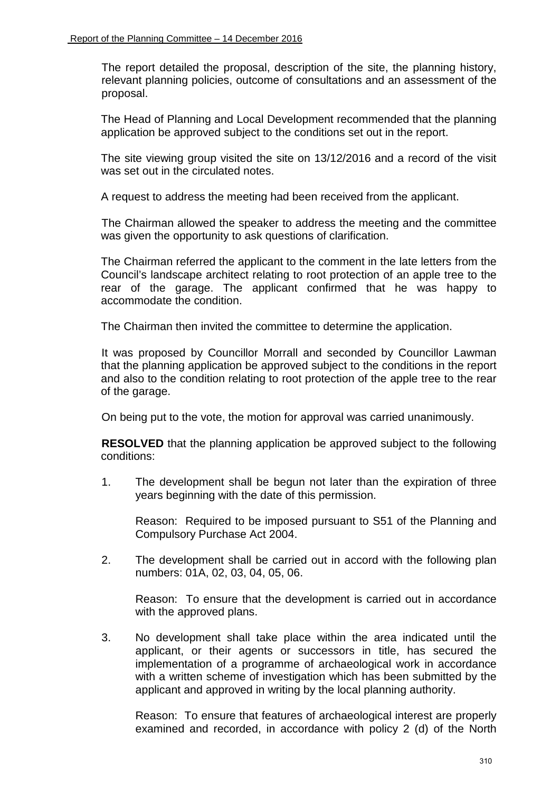The report detailed the proposal, description of the site, the planning history, relevant planning policies, outcome of consultations and an assessment of the proposal.

The Head of Planning and Local Development recommended that the planning application be approved subject to the conditions set out in the report.

The site viewing group visited the site on 13/12/2016 and a record of the visit was set out in the circulated notes.

A request to address the meeting had been received from the applicant.

 The Chairman allowed the speaker to address the meeting and the committee was given the opportunity to ask questions of clarification.

The Chairman referred the applicant to the comment in the late letters from the Council's landscape architect relating to root protection of an apple tree to the rear of the garage. The applicant confirmed that he was happy to accommodate the condition.

The Chairman then invited the committee to determine the application.

 It was proposed by Councillor Morrall and seconded by Councillor Lawman that the planning application be approved subject to the conditions in the report and also to the condition relating to root protection of the apple tree to the rear of the garage.

On being put to the vote, the motion for approval was carried unanimously.

 **RESOLVED** that the planning application be approved subject to the following conditions:

1. The development shall be begun not later than the expiration of three years beginning with the date of this permission.

 Reason: Required to be imposed pursuant to S51 of the Planning and Compulsory Purchase Act 2004.

2. The development shall be carried out in accord with the following plan numbers: 01A, 02, 03, 04, 05, 06.

 Reason: To ensure that the development is carried out in accordance with the approved plans.

3. No development shall take place within the area indicated until the applicant, or their agents or successors in title, has secured the implementation of a programme of archaeological work in accordance with a written scheme of investigation which has been submitted by the applicant and approved in writing by the local planning authority.

 Reason: To ensure that features of archaeological interest are properly examined and recorded, in accordance with policy 2 (d) of the North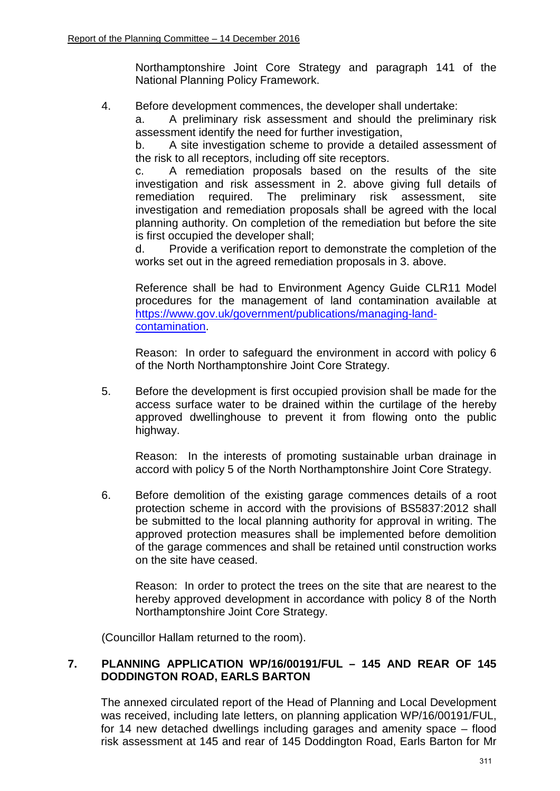Northamptonshire Joint Core Strategy and paragraph 141 of the National Planning Policy Framework.

4. Before development commences, the developer shall undertake:

 a. A preliminary risk assessment and should the preliminary risk assessment identify the need for further investigation,

 b. A site investigation scheme to provide a detailed assessment of the risk to all receptors, including off site receptors.

 c. A remediation proposals based on the results of the site investigation and risk assessment in 2. above giving full details of remediation required. The preliminary risk assessment, site investigation and remediation proposals shall be agreed with the local planning authority. On completion of the remediation but before the site is first occupied the developer shall;

 d. Provide a verification report to demonstrate the completion of the works set out in the agreed remediation proposals in 3. above.

 Reference shall be had to Environment Agency Guide CLR11 Model procedures for the management of land contamination available at [https://www.gov.uk/government/publications/managing-land](https://www.gov.uk/government/publications/managing-land-contamination)[contamination.](https://www.gov.uk/government/publications/managing-land-contamination)

 Reason: In order to safeguard the environment in accord with policy 6 of the North Northamptonshire Joint Core Strategy.

5. Before the development is first occupied provision shall be made for the access surface water to be drained within the curtilage of the hereby approved dwellinghouse to prevent it from flowing onto the public highway.

 Reason: In the interests of promoting sustainable urban drainage in accord with policy 5 of the North Northamptonshire Joint Core Strategy.

6. Before demolition of the existing garage commences details of a root protection scheme in accord with the provisions of BS5837:2012 shall be submitted to the local planning authority for approval in writing. The approved protection measures shall be implemented before demolition of the garage commences and shall be retained until construction works on the site have ceased.

 Reason: In order to protect the trees on the site that are nearest to the hereby approved development in accordance with policy 8 of the North Northamptonshire Joint Core Strategy.

(Councillor Hallam returned to the room).

# **7. PLANNING APPLICATION WP/16/00191/FUL – 145 AND REAR OF 145 DODDINGTON ROAD, EARLS BARTON**

The annexed circulated report of the Head of Planning and Local Development was received, including late letters, on planning application WP/16/00191/FUL, for 14 new detached dwellings including garages and amenity space – flood risk assessment at 145 and rear of 145 Doddington Road, Earls Barton for Mr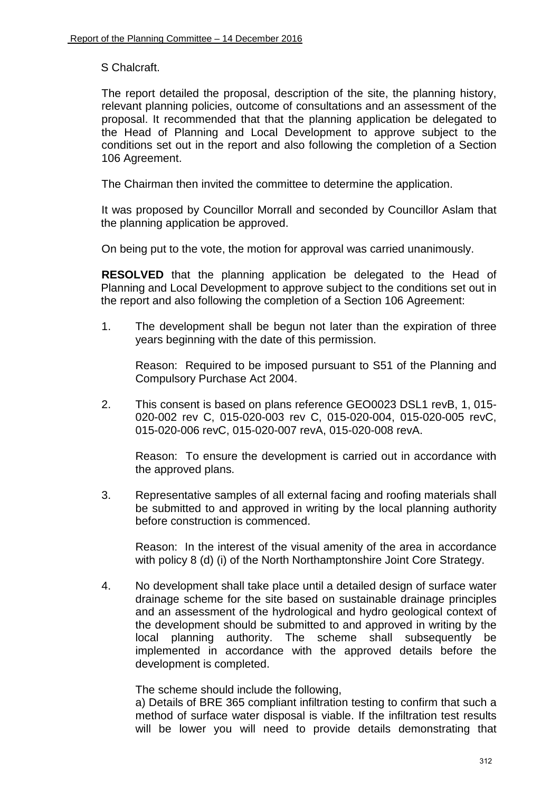S Chalcraft.

The report detailed the proposal, description of the site, the planning history, relevant planning policies, outcome of consultations and an assessment of the proposal. It recommended that that the planning application be delegated to the Head of Planning and Local Development to approve subject to the conditions set out in the report and also following the completion of a Section 106 Agreement.

The Chairman then invited the committee to determine the application.

 It was proposed by Councillor Morrall and seconded by Councillor Aslam that the planning application be approved.

On being put to the vote, the motion for approval was carried unanimously.

**RESOLVED** that the planning application be delegated to the Head of Planning and Local Development to approve subject to the conditions set out in the report and also following the completion of a Section 106 Agreement:

1. The development shall be begun not later than the expiration of three years beginning with the date of this permission.

Reason: Required to be imposed pursuant to S51 of the Planning and Compulsory Purchase Act 2004.

2. This consent is based on plans reference GEO0023 DSL1 revB, 1, 015- 020-002 rev C, 015-020-003 rev C, 015-020-004, 015-020-005 revC, 015-020-006 revC, 015-020-007 revA, 015-020-008 revA.

Reason: To ensure the development is carried out in accordance with the approved plans.

3. Representative samples of all external facing and roofing materials shall be submitted to and approved in writing by the local planning authority before construction is commenced.

Reason: In the interest of the visual amenity of the area in accordance with policy 8 (d) (i) of the North Northamptonshire Joint Core Strategy.

4. No development shall take place until a detailed design of surface water drainage scheme for the site based on sustainable drainage principles and an assessment of the hydrological and hydro geological context of the development should be submitted to and approved in writing by the local planning authority. The scheme shall subsequently be implemented in accordance with the approved details before the development is completed.

The scheme should include the following,

a) Details of BRE 365 compliant infiltration testing to confirm that such a method of surface water disposal is viable. If the infiltration test results will be lower you will need to provide details demonstrating that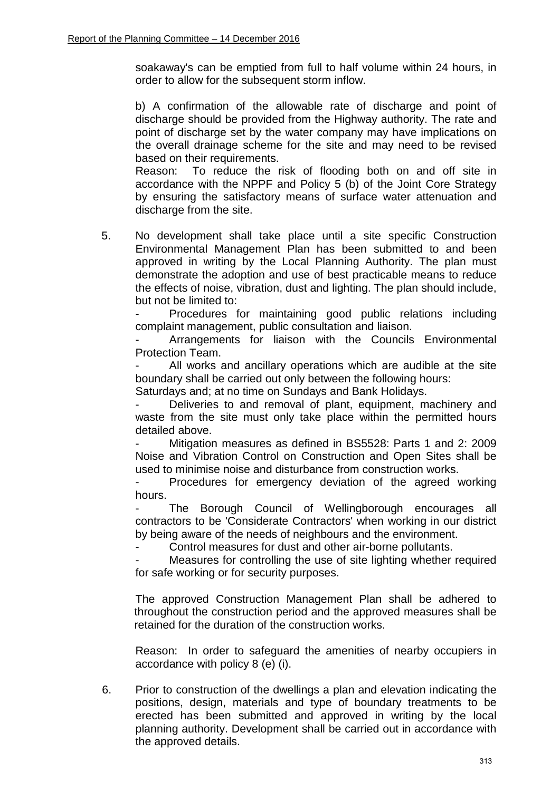soakaway's can be emptied from full to half volume within 24 hours, in order to allow for the subsequent storm inflow.

b) A confirmation of the allowable rate of discharge and point of discharge should be provided from the Highway authority. The rate and point of discharge set by the water company may have implications on the overall drainage scheme for the site and may need to be revised based on their requirements.

Reason: To reduce the risk of flooding both on and off site in accordance with the NPPF and Policy 5 (b) of the Joint Core Strategy by ensuring the satisfactory means of surface water attenuation and discharge from the site.

5. No development shall take place until a site specific Construction Environmental Management Plan has been submitted to and been approved in writing by the Local Planning Authority. The plan must demonstrate the adoption and use of best practicable means to reduce the effects of noise, vibration, dust and lighting. The plan should include, but not be limited to:

Procedures for maintaining good public relations including complaint management, public consultation and liaison.

Arrangements for liaison with the Councils Environmental Protection Team.

All works and ancillary operations which are audible at the site boundary shall be carried out only between the following hours:

Saturdays and; at no time on Sundays and Bank Holidays.

Deliveries to and removal of plant, equipment, machinery and waste from the site must only take place within the permitted hours detailed above.

Mitigation measures as defined in BS5528: Parts 1 and 2: 2009 Noise and Vibration Control on Construction and Open Sites shall be used to minimise noise and disturbance from construction works.

 - Procedures for emergency deviation of the agreed working hours.

The Borough Council of Wellingborough encourages all contractors to be 'Considerate Contractors' when working in our district by being aware of the needs of neighbours and the environment.

Control measures for dust and other air-borne pollutants.

Measures for controlling the use of site lighting whether required for safe working or for security purposes.

The approved Construction Management Plan shall be adhered to throughout the construction period and the approved measures shall be retained for the duration of the construction works.

Reason: In order to safeguard the amenities of nearby occupiers in accordance with policy 8 (e) (i).

6. Prior to construction of the dwellings a plan and elevation indicating the positions, design, materials and type of boundary treatments to be erected has been submitted and approved in writing by the local planning authority. Development shall be carried out in accordance with the approved details.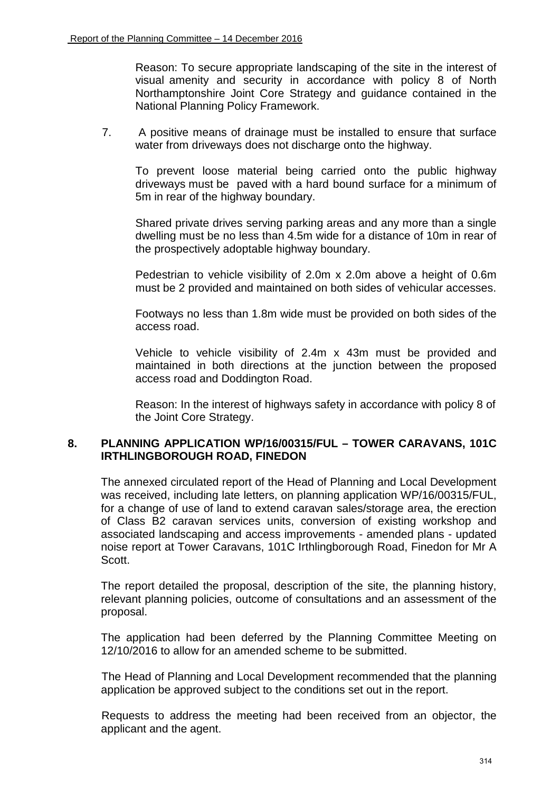Reason: To secure appropriate landscaping of the site in the interest of visual amenity and security in accordance with policy 8 of North Northamptonshire Joint Core Strategy and guidance contained in the National Planning Policy Framework.

7. A positive means of drainage must be installed to ensure that surface water from driveways does not discharge onto the highway.

To prevent loose material being carried onto the public highway driveways must be paved with a hard bound surface for a minimum of 5m in rear of the highway boundary.

Shared private drives serving parking areas and any more than a single dwelling must be no less than 4.5m wide for a distance of 10m in rear of the prospectively adoptable highway boundary.

Pedestrian to vehicle visibility of 2.0m x 2.0m above a height of 0.6m must be 2 provided and maintained on both sides of vehicular accesses.

Footways no less than 1.8m wide must be provided on both sides of the access road.

Vehicle to vehicle visibility of 2.4m x 43m must be provided and maintained in both directions at the junction between the proposed access road and Doddington Road.

Reason: In the interest of highways safety in accordance with policy 8 of the Joint Core Strategy.

#### **8. PLANNING APPLICATION WP/16/00315/FUL – TOWER CARAVANS, 101C IRTHLINGBOROUGH ROAD, FINEDON**

The annexed circulated report of the Head of Planning and Local Development was received, including late letters, on planning application WP/16/00315/FUL, for a change of use of land to extend caravan sales/storage area, the erection of Class B2 caravan services units, conversion of existing workshop and associated landscaping and access improvements - amended plans - updated noise report at Tower Caravans, 101C Irthlingborough Road, Finedon for Mr A Scott.

The report detailed the proposal, description of the site, the planning history, relevant planning policies, outcome of consultations and an assessment of the proposal.

The application had been deferred by the Planning Committee Meeting on 12/10/2016 to allow for an amended scheme to be submitted.

The Head of Planning and Local Development recommended that the planning application be approved subject to the conditions set out in the report.

Requests to address the meeting had been received from an objector, the applicant and the agent.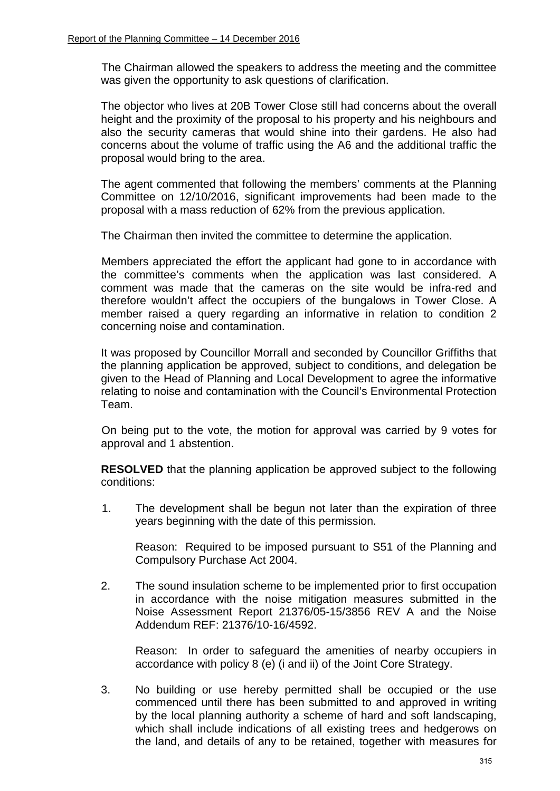The Chairman allowed the speakers to address the meeting and the committee was given the opportunity to ask questions of clarification.

The objector who lives at 20B Tower Close still had concerns about the overall height and the proximity of the proposal to his property and his neighbours and also the security cameras that would shine into their gardens. He also had concerns about the volume of traffic using the A6 and the additional traffic the proposal would bring to the area.

The agent commented that following the members' comments at the Planning Committee on 12/10/2016, significant improvements had been made to the proposal with a mass reduction of 62% from the previous application.

The Chairman then invited the committee to determine the application.

Members appreciated the effort the applicant had gone to in accordance with the committee's comments when the application was last considered. A comment was made that the cameras on the site would be infra-red and therefore wouldn't affect the occupiers of the bungalows in Tower Close. A member raised a query regarding an informative in relation to condition 2 concerning noise and contamination.

It was proposed by Councillor Morrall and seconded by Councillor Griffiths that the planning application be approved, subject to conditions, and delegation be given to the Head of Planning and Local Development to agree the informative relating to noise and contamination with the Council's Environmental Protection Team.

On being put to the vote, the motion for approval was carried by 9 votes for approval and 1 abstention.

**RESOLVED** that the planning application be approved subject to the following conditions:

1. The development shall be begun not later than the expiration of three years beginning with the date of this permission.

Reason: Required to be imposed pursuant to S51 of the Planning and Compulsory Purchase Act 2004.

2. The sound insulation scheme to be implemented prior to first occupation in accordance with the noise mitigation measures submitted in the Noise Assessment Report 21376/05-15/3856 REV A and the Noise Addendum REF: 21376/10-16/4592.

Reason: In order to safeguard the amenities of nearby occupiers in accordance with policy 8 (e) (i and ii) of the Joint Core Strategy.

3. No building or use hereby permitted shall be occupied or the use commenced until there has been submitted to and approved in writing by the local planning authority a scheme of hard and soft landscaping, which shall include indications of all existing trees and hedgerows on the land, and details of any to be retained, together with measures for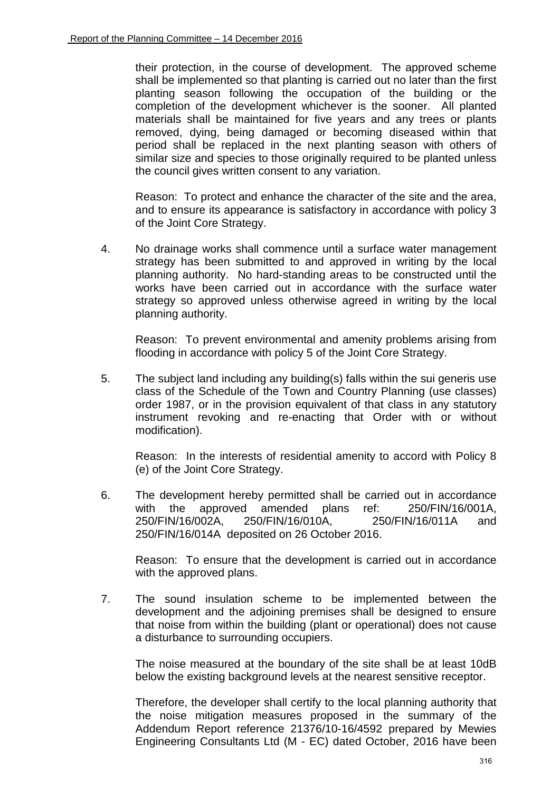their protection, in the course of development. The approved scheme shall be implemented so that planting is carried out no later than the first planting season following the occupation of the building or the completion of the development whichever is the sooner. All planted materials shall be maintained for five years and any trees or plants removed, dying, being damaged or becoming diseased within that period shall be replaced in the next planting season with others of similar size and species to those originally required to be planted unless the council gives written consent to any variation.

Reason: To protect and enhance the character of the site and the area, and to ensure its appearance is satisfactory in accordance with policy 3 of the Joint Core Strategy.

4. No drainage works shall commence until a surface water management strategy has been submitted to and approved in writing by the local planning authority. No hard-standing areas to be constructed until the works have been carried out in accordance with the surface water strategy so approved unless otherwise agreed in writing by the local planning authority.

Reason: To prevent environmental and amenity problems arising from flooding in accordance with policy 5 of the Joint Core Strategy.

5. The subject land including any building(s) falls within the sui generis use class of the Schedule of the Town and Country Planning (use classes) order 1987, or in the provision equivalent of that class in any statutory instrument revoking and re-enacting that Order with or without modification).

Reason: In the interests of residential amenity to accord with Policy 8 (e) of the Joint Core Strategy.

6. The development hereby permitted shall be carried out in accordance with the approved amended plans ref: 250/FIN/16/001A, 250/FIN/16/002A, 250/FIN/16/010A, 250/FIN/16/011A and 250/FIN/16/014A deposited on 26 October 2016.

Reason: To ensure that the development is carried out in accordance with the approved plans.

7. The sound insulation scheme to be implemented between the development and the adjoining premises shall be designed to ensure that noise from within the building (plant or operational) does not cause a disturbance to surrounding occupiers.

The noise measured at the boundary of the site shall be at least 10dB below the existing background levels at the nearest sensitive receptor.

Therefore, the developer shall certify to the local planning authority that the noise mitigation measures proposed in the summary of the Addendum Report reference 21376/10-16/4592 prepared by Mewies Engineering Consultants Ltd (M - EC) dated October, 2016 have been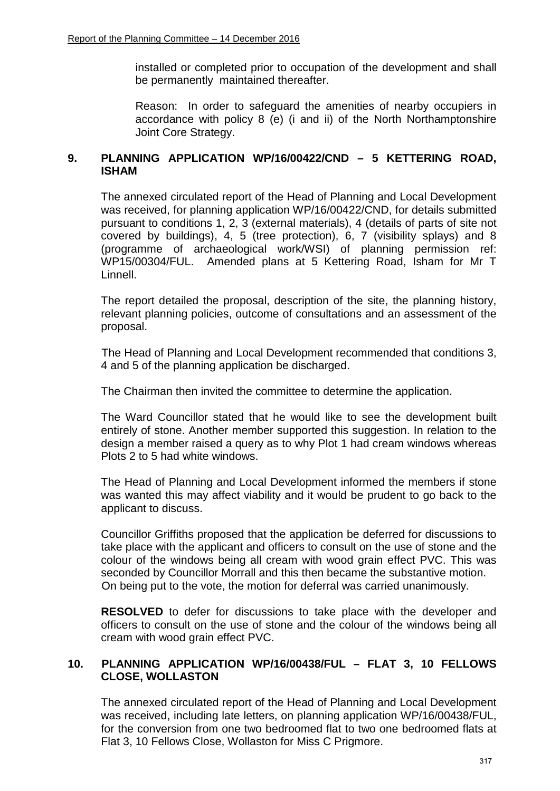installed or completed prior to occupation of the development and shall be permanently maintained thereafter.

Reason: In order to safeguard the amenities of nearby occupiers in accordance with policy 8 (e) (i and ii) of the North Northamptonshire Joint Core Strategy.

# **9. PLANNING APPLICATION WP/16/00422/CND – 5 KETTERING ROAD, ISHAM**

The annexed circulated report of the Head of Planning and Local Development was received, for planning application WP/16/00422/CND, for details submitted pursuant to conditions 1, 2, 3 (external materials), 4 (details of parts of site not covered by buildings), 4, 5 (tree protection), 6, 7 (visibility splays) and 8 (programme of archaeological work/WSI) of planning permission ref: WP15/00304/FUL. Amended plans at 5 Kettering Road, Isham for Mr T Linnell.

The report detailed the proposal, description of the site, the planning history, relevant planning policies, outcome of consultations and an assessment of the proposal.

The Head of Planning and Local Development recommended that conditions 3, 4 and 5 of the planning application be discharged.

The Chairman then invited the committee to determine the application.

The Ward Councillor stated that he would like to see the development built entirely of stone. Another member supported this suggestion. In relation to the design a member raised a query as to why Plot 1 had cream windows whereas Plots 2 to 5 had white windows.

The Head of Planning and Local Development informed the members if stone was wanted this may affect viability and it would be prudent to go back to the applicant to discuss.

Councillor Griffiths proposed that the application be deferred for discussions to take place with the applicant and officers to consult on the use of stone and the colour of the windows being all cream with wood grain effect PVC. This was seconded by Councillor Morrall and this then became the substantive motion. On being put to the vote, the motion for deferral was carried unanimously.

**RESOLVED** to defer for discussions to take place with the developer and officers to consult on the use of stone and the colour of the windows being all cream with wood grain effect PVC.

## **10. PLANNING APPLICATION WP/16/00438/FUL – FLAT 3, 10 FELLOWS CLOSE, WOLLASTON**

The annexed circulated report of the Head of Planning and Local Development was received, including late letters, on planning application WP/16/00438/FUL, for the conversion from one two bedroomed flat to two one bedroomed flats at Flat 3, 10 Fellows Close, Wollaston for Miss C Prigmore.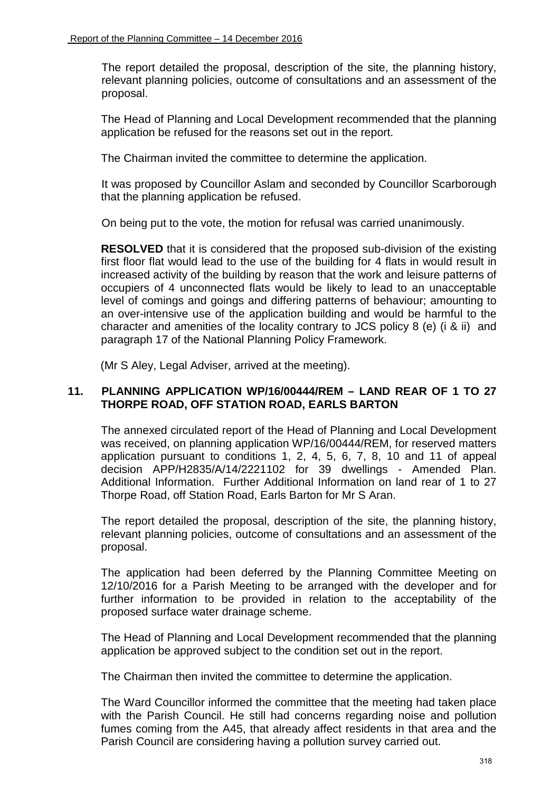The report detailed the proposal, description of the site, the planning history, relevant planning policies, outcome of consultations and an assessment of the proposal.

The Head of Planning and Local Development recommended that the planning application be refused for the reasons set out in the report.

The Chairman invited the committee to determine the application.

 It was proposed by Councillor Aslam and seconded by Councillor Scarborough that the planning application be refused.

On being put to the vote, the motion for refusal was carried unanimously.

 **RESOLVED** that it is considered that the proposed sub-division of the existing first floor flat would lead to the use of the building for 4 flats in would result in increased activity of the building by reason that the work and leisure patterns of occupiers of 4 unconnected flats would be likely to lead to an unacceptable level of comings and goings and differing patterns of behaviour; amounting to an over-intensive use of the application building and would be harmful to the character and amenities of the locality contrary to JCS policy 8 (e) (i & ii) and paragraph 17 of the National Planning Policy Framework.

(Mr S Aley, Legal Adviser, arrived at the meeting).

## **11. PLANNING APPLICATION WP/16/00444/REM – LAND REAR OF 1 TO 27 THORPE ROAD, OFF STATION ROAD, EARLS BARTON**

The annexed circulated report of the Head of Planning and Local Development was received, on planning application WP/16/00444/REM, for reserved matters application pursuant to conditions 1, 2, 4, 5, 6, 7, 8, 10 and 11 of appeal decision APP/H2835/A/14/2221102 for 39 dwellings - Amended Plan. Additional Information. Further Additional Information on land rear of 1 to 27 Thorpe Road, off Station Road, Earls Barton for Mr S Aran.

The report detailed the proposal, description of the site, the planning history, relevant planning policies, outcome of consultations and an assessment of the proposal.

The application had been deferred by the Planning Committee Meeting on 12/10/2016 for a Parish Meeting to be arranged with the developer and for further information to be provided in relation to the acceptability of the proposed surface water drainage scheme.

The Head of Planning and Local Development recommended that the planning application be approved subject to the condition set out in the report.

The Chairman then invited the committee to determine the application.

The Ward Councillor informed the committee that the meeting had taken place with the Parish Council. He still had concerns regarding noise and pollution fumes coming from the A45, that already affect residents in that area and the Parish Council are considering having a pollution survey carried out.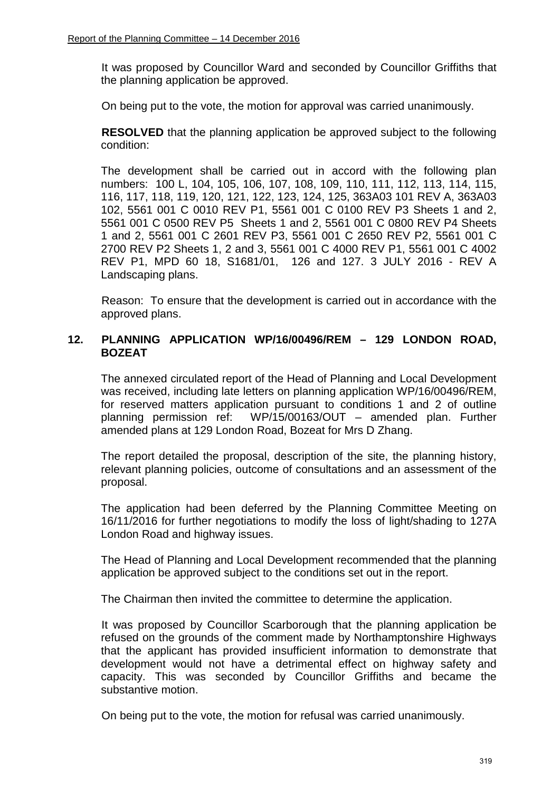It was proposed by Councillor Ward and seconded by Councillor Griffiths that the planning application be approved.

On being put to the vote, the motion for approval was carried unanimously.

**RESOLVED** that the planning application be approved subject to the following condition:

The development shall be carried out in accord with the following plan numbers: 100 L, 104, 105, 106, 107, 108, 109, 110, 111, 112, 113, 114, 115, 116, 117, 118, 119, 120, 121, 122, 123, 124, 125, 363A03 101 REV A, 363A03 102, 5561 001 C 0010 REV P1, 5561 001 C 0100 REV P3 Sheets 1 and 2, 5561 001 C 0500 REV P5 Sheets 1 and 2, 5561 001 C 0800 REV P4 Sheets 1 and 2, 5561 001 C 2601 REV P3, 5561 001 C 2650 REV P2, 5561 001 C 2700 REV P2 Sheets 1, 2 and 3, 5561 001 C 4000 REV P1, 5561 001 C 4002 REV P1, MPD 60 18, S1681/01, 126 and 127. 3 JULY 2016 - REV A Landscaping plans.

Reason: To ensure that the development is carried out in accordance with the approved plans.

# **12. PLANNING APPLICATION WP/16/00496/REM – 129 LONDON ROAD, BOZEAT**

The annexed circulated report of the Head of Planning and Local Development was received, including late letters on planning application WP/16/00496/REM, for reserved matters application pursuant to conditions 1 and 2 of outline planning permission ref: WP/15/00163/OUT – amended plan. Further amended plans at 129 London Road, Bozeat for Mrs D Zhang.

The report detailed the proposal, description of the site, the planning history, relevant planning policies, outcome of consultations and an assessment of the proposal.

The application had been deferred by the Planning Committee Meeting on 16/11/2016 for further negotiations to modify the loss of light/shading to 127A London Road and highway issues.

The Head of Planning and Local Development recommended that the planning application be approved subject to the conditions set out in the report.

The Chairman then invited the committee to determine the application.

It was proposed by Councillor Scarborough that the planning application be refused on the grounds of the comment made by Northamptonshire Highways that the applicant has provided insufficient information to demonstrate that development would not have a detrimental effect on highway safety and capacity. This was seconded by Councillor Griffiths and became the substantive motion.

On being put to the vote, the motion for refusal was carried unanimously.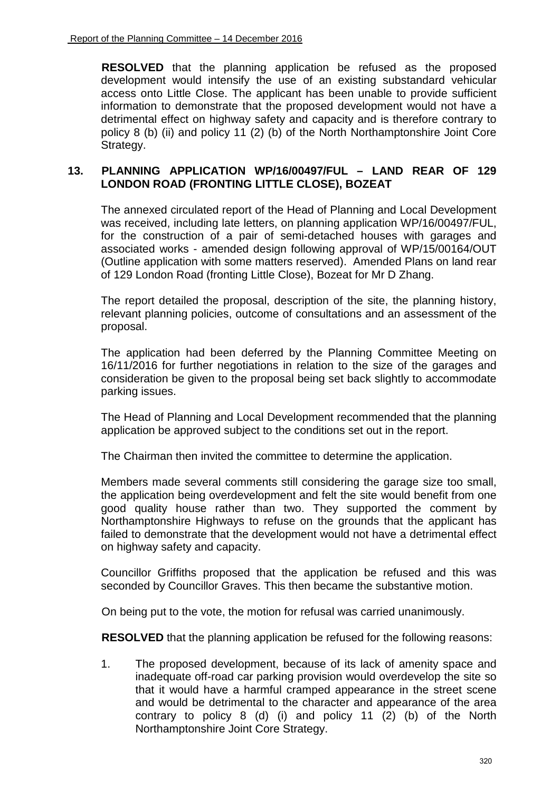**RESOLVED** that the planning application be refused as the proposed development would intensify the use of an existing substandard vehicular access onto Little Close. The applicant has been unable to provide sufficient information to demonstrate that the proposed development would not have a detrimental effect on highway safety and capacity and is therefore contrary to policy 8 (b) (ii) and policy 11 (2) (b) of the North Northamptonshire Joint Core Strategy.

## **13. PLANNING APPLICATION WP/16/00497/FUL – LAND REAR OF 129 LONDON ROAD (FRONTING LITTLE CLOSE), BOZEAT**

The annexed circulated report of the Head of Planning and Local Development was received, including late letters, on planning application WP/16/00497/FUL, for the construction of a pair of semi-detached houses with garages and associated works - amended design following approval of WP/15/00164/OUT (Outline application with some matters reserved). Amended Plans on land rear of 129 London Road (fronting Little Close), Bozeat for Mr D Zhang.

The report detailed the proposal, description of the site, the planning history, relevant planning policies, outcome of consultations and an assessment of the proposal.

The application had been deferred by the Planning Committee Meeting on 16/11/2016 for further negotiations in relation to the size of the garages and consideration be given to the proposal being set back slightly to accommodate parking issues.

The Head of Planning and Local Development recommended that the planning application be approved subject to the conditions set out in the report.

The Chairman then invited the committee to determine the application.

Members made several comments still considering the garage size too small, the application being overdevelopment and felt the site would benefit from one good quality house rather than two. They supported the comment by Northamptonshire Highways to refuse on the grounds that the applicant has failed to demonstrate that the development would not have a detrimental effect on highway safety and capacity.

Councillor Griffiths proposed that the application be refused and this was seconded by Councillor Graves. This then became the substantive motion.

On being put to the vote, the motion for refusal was carried unanimously.

**RESOLVED** that the planning application be refused for the following reasons:

1. The proposed development, because of its lack of amenity space and inadequate off-road car parking provision would overdevelop the site so that it would have a harmful cramped appearance in the street scene and would be detrimental to the character and appearance of the area contrary to policy 8 (d) (i) and policy 11 (2) (b) of the North Northamptonshire Joint Core Strategy.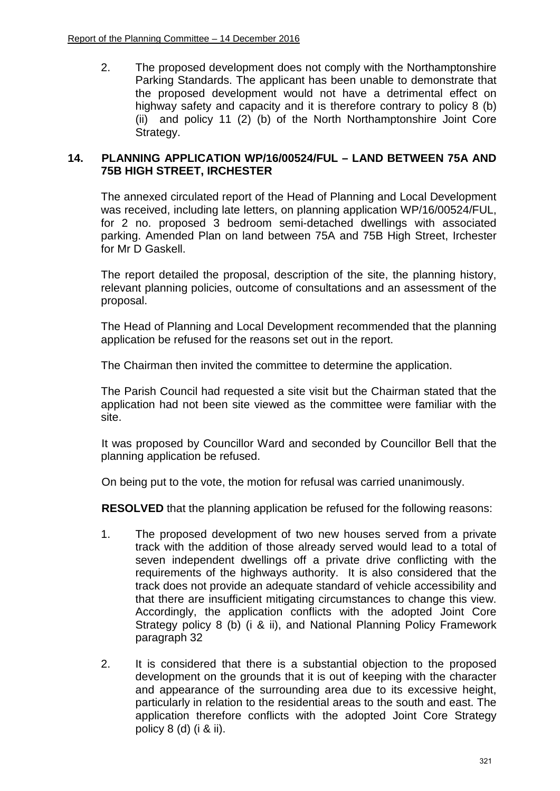2. The proposed development does not comply with the Northamptonshire Parking Standards. The applicant has been unable to demonstrate that the proposed development would not have a detrimental effect on highway safety and capacity and it is therefore contrary to policy 8 (b) (ii) and policy 11 (2) (b) of the North Northamptonshire Joint Core Strategy.

## **14. PLANNING APPLICATION WP/16/00524/FUL – LAND BETWEEN 75A AND 75B HIGH STREET, IRCHESTER**

The annexed circulated report of the Head of Planning and Local Development was received, including late letters, on planning application WP/16/00524/FUL, for 2 no. proposed 3 bedroom semi-detached dwellings with associated parking. Amended Plan on land between 75A and 75B High Street, Irchester for Mr D Gaskell.

The report detailed the proposal, description of the site, the planning history, relevant planning policies, outcome of consultations and an assessment of the proposal.

The Head of Planning and Local Development recommended that the planning application be refused for the reasons set out in the report.

The Chairman then invited the committee to determine the application.

The Parish Council had requested a site visit but the Chairman stated that the application had not been site viewed as the committee were familiar with the site.

 It was proposed by Councillor Ward and seconded by Councillor Bell that the planning application be refused.

On being put to the vote, the motion for refusal was carried unanimously.

**RESOLVED** that the planning application be refused for the following reasons:

- 1. The proposed development of two new houses served from a private track with the addition of those already served would lead to a total of seven independent dwellings off a private drive conflicting with the requirements of the highways authority. It is also considered that the track does not provide an adequate standard of vehicle accessibility and that there are insufficient mitigating circumstances to change this view. Accordingly, the application conflicts with the adopted Joint Core Strategy policy 8 (b) (i & ii), and National Planning Policy Framework paragraph 32
- 2. It is considered that there is a substantial objection to the proposed development on the grounds that it is out of keeping with the character and appearance of the surrounding area due to its excessive height, particularly in relation to the residential areas to the south and east. The application therefore conflicts with the adopted Joint Core Strategy policy 8 (d) (i & ii).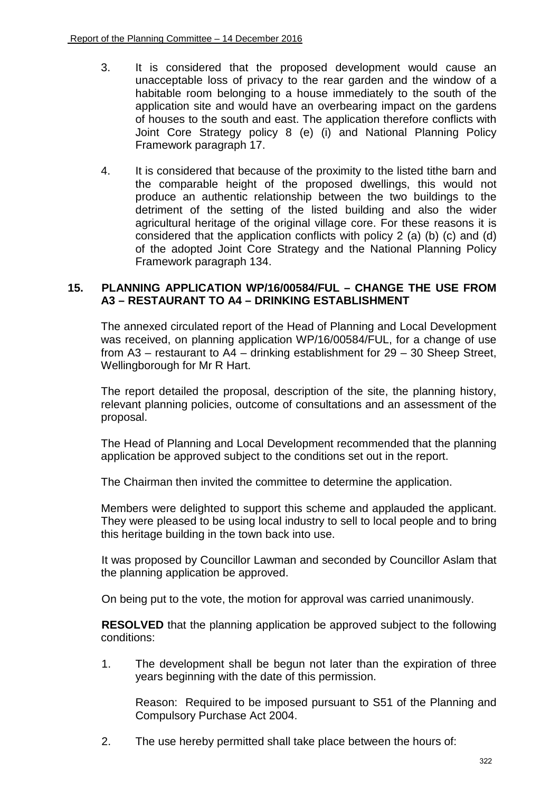- 3. It is considered that the proposed development would cause an unacceptable loss of privacy to the rear garden and the window of a habitable room belonging to a house immediately to the south of the application site and would have an overbearing impact on the gardens of houses to the south and east. The application therefore conflicts with Joint Core Strategy policy 8 (e) (i) and National Planning Policy Framework paragraph 17.
- 4. It is considered that because of the proximity to the listed tithe barn and the comparable height of the proposed dwellings, this would not produce an authentic relationship between the two buildings to the detriment of the setting of the listed building and also the wider agricultural heritage of the original village core. For these reasons it is considered that the application conflicts with policy 2 (a) (b) (c) and (d) of the adopted Joint Core Strategy and the National Planning Policy Framework paragraph 134.

## **15. PLANNING APPLICATION WP/16/00584/FUL – CHANGE THE USE FROM A3 – RESTAURANT TO A4 – DRINKING ESTABLISHMENT**

The annexed circulated report of the Head of Planning and Local Development was received, on planning application WP/16/00584/FUL, for a change of use from A3 – restaurant to A4 – drinking establishment for 29 – 30 Sheep Street, Wellingborough for Mr R Hart.

The report detailed the proposal, description of the site, the planning history, relevant planning policies, outcome of consultations and an assessment of the proposal.

The Head of Planning and Local Development recommended that the planning application be approved subject to the conditions set out in the report.

The Chairman then invited the committee to determine the application.

Members were delighted to support this scheme and applauded the applicant. They were pleased to be using local industry to sell to local people and to bring this heritage building in the town back into use.

It was proposed by Councillor Lawman and seconded by Councillor Aslam that the planning application be approved.

On being put to the vote, the motion for approval was carried unanimously.

**RESOLVED** that the planning application be approved subject to the following conditions:

1. The development shall be begun not later than the expiration of three years beginning with the date of this permission.

Reason: Required to be imposed pursuant to S51 of the Planning and Compulsory Purchase Act 2004.

2. The use hereby permitted shall take place between the hours of: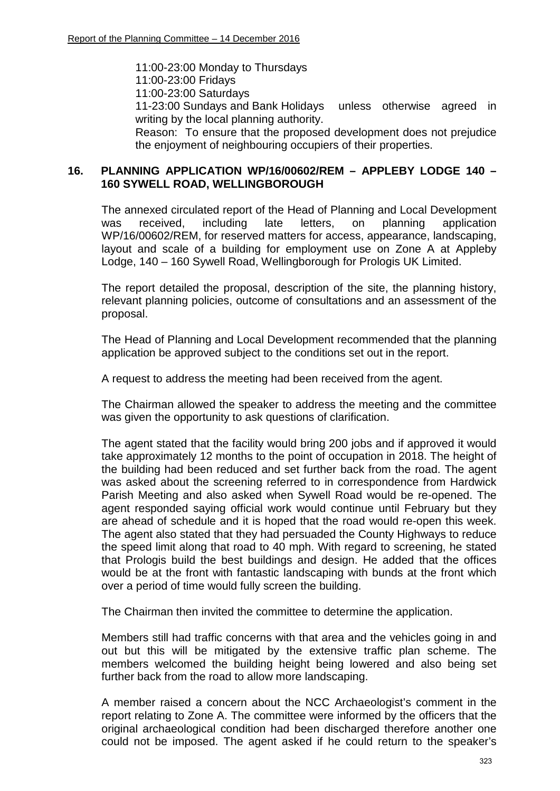11:00-23:00 Monday to Thursdays

11:00-23:00 Fridays

11:00-23:00 Saturdays

11-23:00 Sundays and Bank Holidays unless otherwise agreed in writing by the local planning authority.

Reason: To ensure that the proposed development does not prejudice the enjoyment of neighbouring occupiers of their properties.

## **16. PLANNING APPLICATION WP/16/00602/REM – APPLEBY LODGE 140 – 160 SYWELL ROAD, WELLINGBOROUGH**

The annexed circulated report of the Head of Planning and Local Development was received, including late letters, on planning application WP/16/00602/REM, for reserved matters for access, appearance, landscaping, layout and scale of a building for employment use on Zone A at Appleby Lodge, 140 – 160 Sywell Road, Wellingborough for Prologis UK Limited.

The report detailed the proposal, description of the site, the planning history, relevant planning policies, outcome of consultations and an assessment of the proposal.

The Head of Planning and Local Development recommended that the planning application be approved subject to the conditions set out in the report.

A request to address the meeting had been received from the agent.

The Chairman allowed the speaker to address the meeting and the committee was given the opportunity to ask questions of clarification.

The agent stated that the facility would bring 200 jobs and if approved it would take approximately 12 months to the point of occupation in 2018. The height of the building had been reduced and set further back from the road. The agent was asked about the screening referred to in correspondence from Hardwick Parish Meeting and also asked when Sywell Road would be re-opened. The agent responded saying official work would continue until February but they are ahead of schedule and it is hoped that the road would re-open this week. The agent also stated that they had persuaded the County Highways to reduce the speed limit along that road to 40 mph. With regard to screening, he stated that Prologis build the best buildings and design. He added that the offices would be at the front with fantastic landscaping with bunds at the front which over a period of time would fully screen the building.

The Chairman then invited the committee to determine the application.

Members still had traffic concerns with that area and the vehicles going in and out but this will be mitigated by the extensive traffic plan scheme. The members welcomed the building height being lowered and also being set further back from the road to allow more landscaping.

A member raised a concern about the NCC Archaeologist's comment in the report relating to Zone A. The committee were informed by the officers that the original archaeological condition had been discharged therefore another one could not be imposed. The agent asked if he could return to the speaker's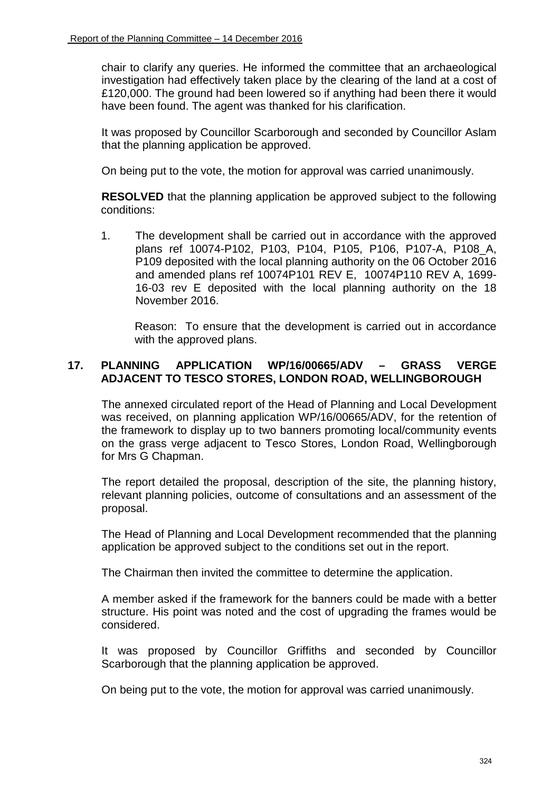chair to clarify any queries. He informed the committee that an archaeological investigation had effectively taken place by the clearing of the land at a cost of £120,000. The ground had been lowered so if anything had been there it would have been found. The agent was thanked for his clarification.

It was proposed by Councillor Scarborough and seconded by Councillor Aslam that the planning application be approved.

On being put to the vote, the motion for approval was carried unanimously.

**RESOLVED** that the planning application be approved subject to the following conditions:

1. The development shall be carried out in accordance with the approved plans ref 10074-P102, P103, P104, P105, P106, P107-A, P108\_A, P109 deposited with the local planning authority on the 06 October 2016 and amended plans ref 10074P101 REV E, 10074P110 REV A, 1699- 16-03 rev E deposited with the local planning authority on the 18 November 2016.

Reason: To ensure that the development is carried out in accordance with the approved plans.

# **17. PLANNING APPLICATION WP/16/00665/ADV – GRASS VERGE ADJACENT TO TESCO STORES, LONDON ROAD, WELLINGBOROUGH**

The annexed circulated report of the Head of Planning and Local Development was received, on planning application WP/16/00665/ADV, for the retention of the framework to display up to two banners promoting local/community events on the grass verge adjacent to Tesco Stores, London Road, Wellingborough for Mrs G Chapman.

The report detailed the proposal, description of the site, the planning history, relevant planning policies, outcome of consultations and an assessment of the proposal.

The Head of Planning and Local Development recommended that the planning application be approved subject to the conditions set out in the report.

The Chairman then invited the committee to determine the application.

A member asked if the framework for the banners could be made with a better structure. His point was noted and the cost of upgrading the frames would be considered.

It was proposed by Councillor Griffiths and seconded by Councillor Scarborough that the planning application be approved.

On being put to the vote, the motion for approval was carried unanimously.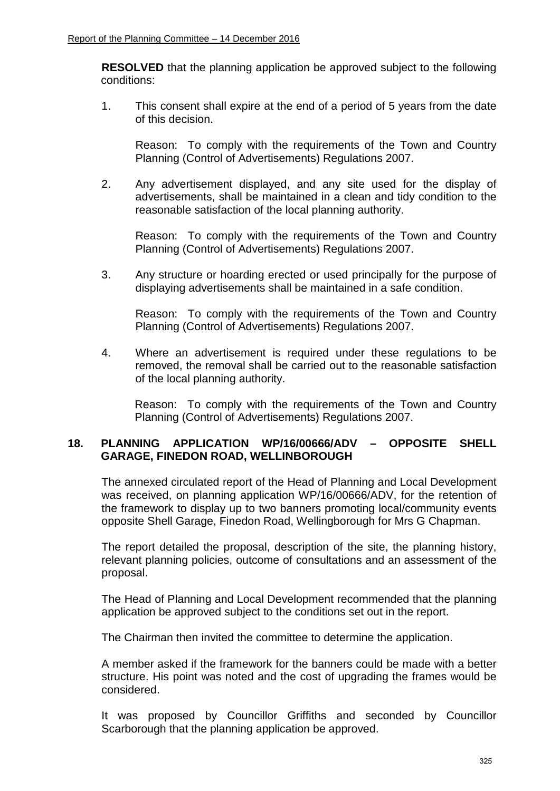**RESOLVED** that the planning application be approved subject to the following conditions:

1. This consent shall expire at the end of a period of 5 years from the date of this decision.

Reason: To comply with the requirements of the Town and Country Planning (Control of Advertisements) Regulations 2007.

2. Any advertisement displayed, and any site used for the display of advertisements, shall be maintained in a clean and tidy condition to the reasonable satisfaction of the local planning authority.

Reason: To comply with the requirements of the Town and Country Planning (Control of Advertisements) Regulations 2007.

3. Any structure or hoarding erected or used principally for the purpose of displaying advertisements shall be maintained in a safe condition.

Reason: To comply with the requirements of the Town and Country Planning (Control of Advertisements) Regulations 2007.

4. Where an advertisement is required under these regulations to be removed, the removal shall be carried out to the reasonable satisfaction of the local planning authority.

Reason: To comply with the requirements of the Town and Country Planning (Control of Advertisements) Regulations 2007.

## **18. PLANNING APPLICATION WP/16/00666/ADV – OPPOSITE SHELL GARAGE, FINEDON ROAD, WELLINBOROUGH**

The annexed circulated report of the Head of Planning and Local Development was received, on planning application WP/16/00666/ADV, for the retention of the framework to display up to two banners promoting local/community events opposite Shell Garage, Finedon Road, Wellingborough for Mrs G Chapman.

The report detailed the proposal, description of the site, the planning history, relevant planning policies, outcome of consultations and an assessment of the proposal.

The Head of Planning and Local Development recommended that the planning application be approved subject to the conditions set out in the report.

The Chairman then invited the committee to determine the application.

A member asked if the framework for the banners could be made with a better structure. His point was noted and the cost of upgrading the frames would be considered.

It was proposed by Councillor Griffiths and seconded by Councillor Scarborough that the planning application be approved.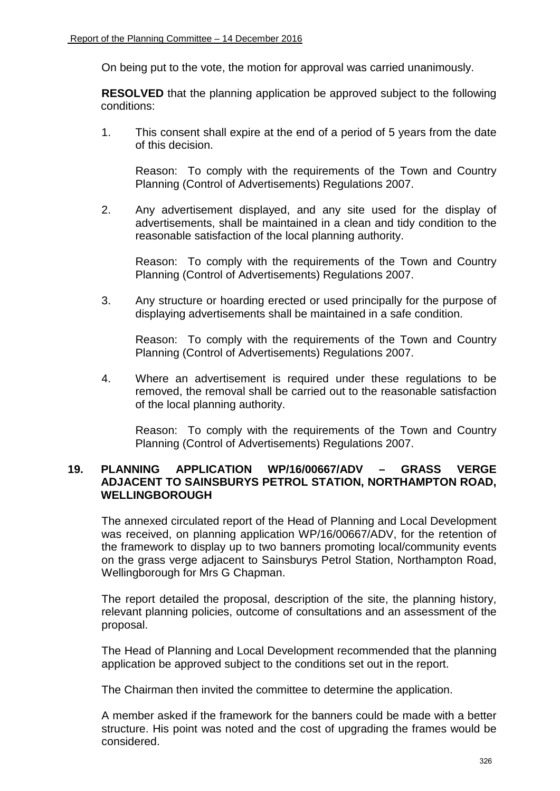On being put to the vote, the motion for approval was carried unanimously.

**RESOLVED** that the planning application be approved subject to the following conditions:

1. This consent shall expire at the end of a period of 5 years from the date of this decision.

Reason: To comply with the requirements of the Town and Country Planning (Control of Advertisements) Regulations 2007.

2. Any advertisement displayed, and any site used for the display of advertisements, shall be maintained in a clean and tidy condition to the reasonable satisfaction of the local planning authority.

Reason: To comply with the requirements of the Town and Country Planning (Control of Advertisements) Regulations 2007.

3. Any structure or hoarding erected or used principally for the purpose of displaying advertisements shall be maintained in a safe condition.

Reason: To comply with the requirements of the Town and Country Planning (Control of Advertisements) Regulations 2007.

4. Where an advertisement is required under these regulations to be removed, the removal shall be carried out to the reasonable satisfaction of the local planning authority.

Reason: To comply with the requirements of the Town and Country Planning (Control of Advertisements) Regulations 2007.

# **19. PLANNING APPLICATION WP/16/00667/ADV – GRASS VERGE ADJACENT TO SAINSBURYS PETROL STATION, NORTHAMPTON ROAD, WELLINGBOROUGH**

The annexed circulated report of the Head of Planning and Local Development was received, on planning application WP/16/00667/ADV, for the retention of the framework to display up to two banners promoting local/community events on the grass verge adjacent to Sainsburys Petrol Station, Northampton Road, Wellingborough for Mrs G Chapman.

The report detailed the proposal, description of the site, the planning history, relevant planning policies, outcome of consultations and an assessment of the proposal.

The Head of Planning and Local Development recommended that the planning application be approved subject to the conditions set out in the report.

The Chairman then invited the committee to determine the application.

A member asked if the framework for the banners could be made with a better structure. His point was noted and the cost of upgrading the frames would be considered.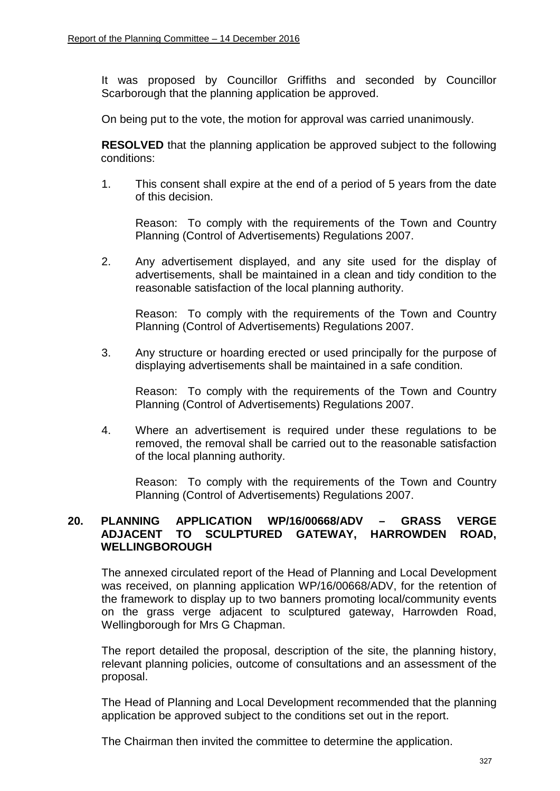It was proposed by Councillor Griffiths and seconded by Councillor Scarborough that the planning application be approved.

On being put to the vote, the motion for approval was carried unanimously.

**RESOLVED** that the planning application be approved subject to the following conditions:

1. This consent shall expire at the end of a period of 5 years from the date of this decision.

Reason: To comply with the requirements of the Town and Country Planning (Control of Advertisements) Regulations 2007.

2. Any advertisement displayed, and any site used for the display of advertisements, shall be maintained in a clean and tidy condition to the reasonable satisfaction of the local planning authority.

Reason: To comply with the requirements of the Town and Country Planning (Control of Advertisements) Regulations 2007.

3. Any structure or hoarding erected or used principally for the purpose of displaying advertisements shall be maintained in a safe condition.

Reason: To comply with the requirements of the Town and Country Planning (Control of Advertisements) Regulations 2007.

4. Where an advertisement is required under these regulations to be removed, the removal shall be carried out to the reasonable satisfaction of the local planning authority.

Reason: To comply with the requirements of the Town and Country Planning (Control of Advertisements) Regulations 2007.

#### **20. PLANNING APPLICATION WP/16/00668/ADV – GRASS VERGE ADJACENT TO SCULPTURED GATEWAY, HARROWDEN ROAD, WELLINGBOROUGH**

The annexed circulated report of the Head of Planning and Local Development was received, on planning application WP/16/00668/ADV, for the retention of the framework to display up to two banners promoting local/community events on the grass verge adjacent to sculptured gateway, Harrowden Road, Wellingborough for Mrs G Chapman.

The report detailed the proposal, description of the site, the planning history, relevant planning policies, outcome of consultations and an assessment of the proposal.

The Head of Planning and Local Development recommended that the planning application be approved subject to the conditions set out in the report.

The Chairman then invited the committee to determine the application.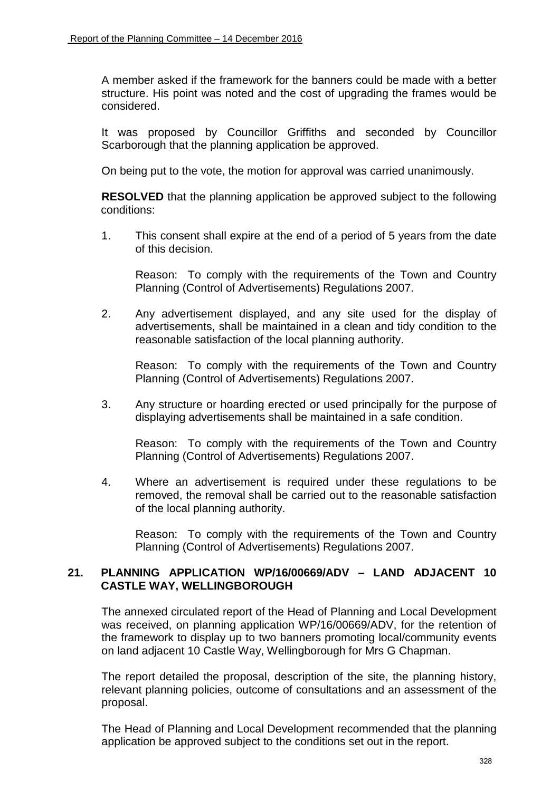A member asked if the framework for the banners could be made with a better structure. His point was noted and the cost of upgrading the frames would be considered.

It was proposed by Councillor Griffiths and seconded by Councillor Scarborough that the planning application be approved.

On being put to the vote, the motion for approval was carried unanimously.

**RESOLVED** that the planning application be approved subject to the following conditions:

1. This consent shall expire at the end of a period of 5 years from the date of this decision.

Reason: To comply with the requirements of the Town and Country Planning (Control of Advertisements) Regulations 2007.

2. Any advertisement displayed, and any site used for the display of advertisements, shall be maintained in a clean and tidy condition to the reasonable satisfaction of the local planning authority.

Reason: To comply with the requirements of the Town and Country Planning (Control of Advertisements) Regulations 2007.

3. Any structure or hoarding erected or used principally for the purpose of displaying advertisements shall be maintained in a safe condition.

Reason: To comply with the requirements of the Town and Country Planning (Control of Advertisements) Regulations 2007.

4. Where an advertisement is required under these regulations to be removed, the removal shall be carried out to the reasonable satisfaction of the local planning authority.

Reason: To comply with the requirements of the Town and Country Planning (Control of Advertisements) Regulations 2007.

## **21. PLANNING APPLICATION WP/16/00669/ADV – LAND ADJACENT 10 CASTLE WAY, WELLINGBOROUGH**

The annexed circulated report of the Head of Planning and Local Development was received, on planning application WP/16/00669/ADV, for the retention of the framework to display up to two banners promoting local/community events on land adjacent 10 Castle Way, Wellingborough for Mrs G Chapman.

The report detailed the proposal, description of the site, the planning history, relevant planning policies, outcome of consultations and an assessment of the proposal.

The Head of Planning and Local Development recommended that the planning application be approved subject to the conditions set out in the report.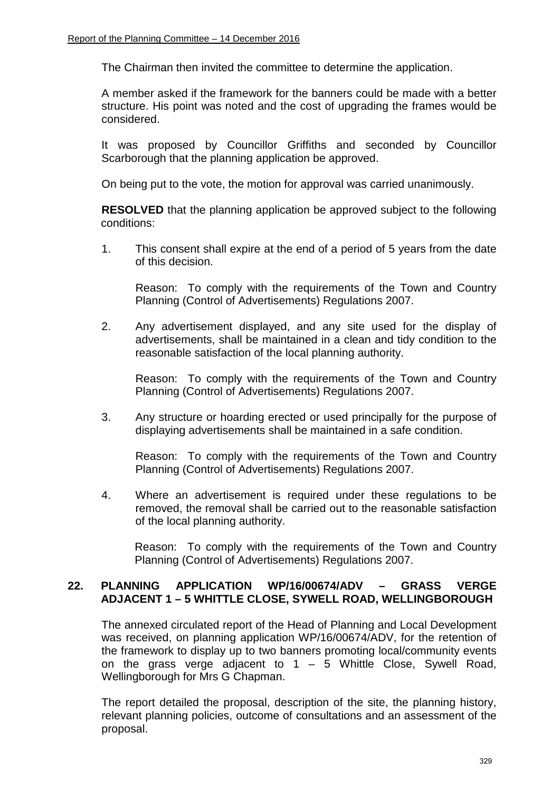The Chairman then invited the committee to determine the application.

A member asked if the framework for the banners could be made with a better structure. His point was noted and the cost of upgrading the frames would be considered.

It was proposed by Councillor Griffiths and seconded by Councillor Scarborough that the planning application be approved.

On being put to the vote, the motion for approval was carried unanimously.

**RESOLVED** that the planning application be approved subject to the following conditions:

1. This consent shall expire at the end of a period of 5 years from the date of this decision.

Reason: To comply with the requirements of the Town and Country Planning (Control of Advertisements) Regulations 2007.

2. Any advertisement displayed, and any site used for the display of advertisements, shall be maintained in a clean and tidy condition to the reasonable satisfaction of the local planning authority.

Reason: To comply with the requirements of the Town and Country Planning (Control of Advertisements) Regulations 2007.

3. Any structure or hoarding erected or used principally for the purpose of displaying advertisements shall be maintained in a safe condition.

Reason: To comply with the requirements of the Town and Country Planning (Control of Advertisements) Regulations 2007.

4. Where an advertisement is required under these regulations to be removed, the removal shall be carried out to the reasonable satisfaction of the local planning authority.

Reason: To comply with the requirements of the Town and Country Planning (Control of Advertisements) Regulations 2007.

## **22. PLANNING APPLICATION WP/16/00674/ADV – GRASS VERGE ADJACENT 1 – 5 WHITTLE CLOSE, SYWELL ROAD, WELLINGBOROUGH**

The annexed circulated report of the Head of Planning and Local Development was received, on planning application WP/16/00674/ADV, for the retention of the framework to display up to two banners promoting local/community events on the grass verge adjacent to  $1 - 5$  Whittle Close, Sywell Road, Wellingborough for Mrs G Chapman.

The report detailed the proposal, description of the site, the planning history, relevant planning policies, outcome of consultations and an assessment of the proposal.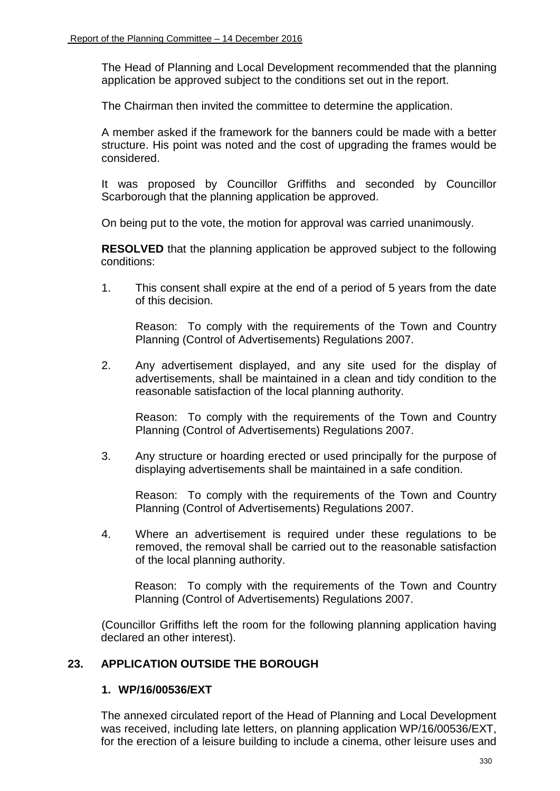The Head of Planning and Local Development recommended that the planning application be approved subject to the conditions set out in the report.

The Chairman then invited the committee to determine the application.

A member asked if the framework for the banners could be made with a better structure. His point was noted and the cost of upgrading the frames would be considered.

It was proposed by Councillor Griffiths and seconded by Councillor Scarborough that the planning application be approved.

On being put to the vote, the motion for approval was carried unanimously.

**RESOLVED** that the planning application be approved subject to the following conditions:

1. This consent shall expire at the end of a period of 5 years from the date of this decision.

Reason: To comply with the requirements of the Town and Country Planning (Control of Advertisements) Regulations 2007.

2. Any advertisement displayed, and any site used for the display of advertisements, shall be maintained in a clean and tidy condition to the reasonable satisfaction of the local planning authority.

Reason: To comply with the requirements of the Town and Country Planning (Control of Advertisements) Regulations 2007.

3. Any structure or hoarding erected or used principally for the purpose of displaying advertisements shall be maintained in a safe condition.

Reason: To comply with the requirements of the Town and Country Planning (Control of Advertisements) Regulations 2007.

4. Where an advertisement is required under these regulations to be removed, the removal shall be carried out to the reasonable satisfaction of the local planning authority.

Reason: To comply with the requirements of the Town and Country Planning (Control of Advertisements) Regulations 2007.

(Councillor Griffiths left the room for the following planning application having declared an other interest).

# **23. APPLICATION OUTSIDE THE BOROUGH**

#### **1. WP/16/00536/EXT**

The annexed circulated report of the Head of Planning and Local Development was received, including late letters, on planning application WP/16/00536/EXT, for the erection of a leisure building to include a cinema, other leisure uses and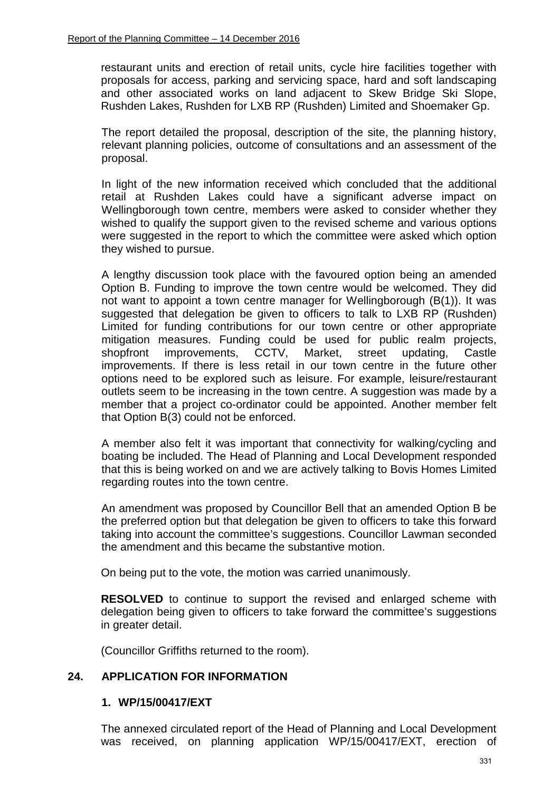restaurant units and erection of retail units, cycle hire facilities together with proposals for access, parking and servicing space, hard and soft landscaping and other associated works on land adjacent to Skew Bridge Ski Slope, Rushden Lakes, Rushden for LXB RP (Rushden) Limited and Shoemaker Gp.

 The report detailed the proposal, description of the site, the planning history, relevant planning policies, outcome of consultations and an assessment of the proposal.

In light of the new information received which concluded that the additional retail at Rushden Lakes could have a significant adverse impact on Wellingborough town centre, members were asked to consider whether they wished to qualify the support given to the revised scheme and various options were suggested in the report to which the committee were asked which option they wished to pursue.

A lengthy discussion took place with the favoured option being an amended Option B. Funding to improve the town centre would be welcomed. They did not want to appoint a town centre manager for Wellingborough (B(1)). It was suggested that delegation be given to officers to talk to LXB RP (Rushden) Limited for funding contributions for our town centre or other appropriate mitigation measures. Funding could be used for public realm projects, shopfront improvements, CCTV, Market, street updating, Castle improvements. If there is less retail in our town centre in the future other options need to be explored such as leisure. For example, leisure/restaurant outlets seem to be increasing in the town centre. A suggestion was made by a member that a project co-ordinator could be appointed. Another member felt that Option B(3) could not be enforced.

A member also felt it was important that connectivity for walking/cycling and boating be included. The Head of Planning and Local Development responded that this is being worked on and we are actively talking to Bovis Homes Limited regarding routes into the town centre.

An amendment was proposed by Councillor Bell that an amended Option B be the preferred option but that delegation be given to officers to take this forward taking into account the committee's suggestions. Councillor Lawman seconded the amendment and this became the substantive motion.

On being put to the vote, the motion was carried unanimously.

**RESOLVED** to continue to support the revised and enlarged scheme with delegation being given to officers to take forward the committee's suggestions in greater detail.

(Councillor Griffiths returned to the room).

## **24. APPLICATION FOR INFORMATION**

#### **1. WP/15/00417/EXT**

The annexed circulated report of the Head of Planning and Local Development was received, on planning application WP/15/00417/EXT, erection of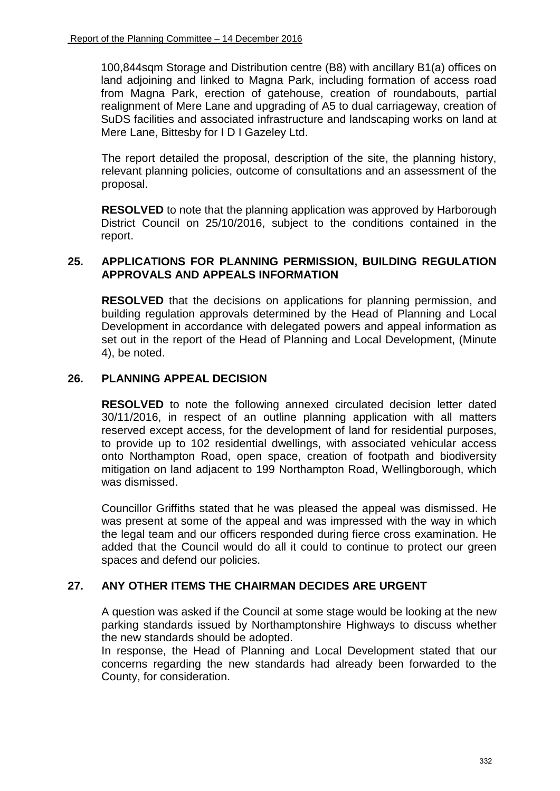100,844sqm Storage and Distribution centre (B8) with ancillary B1(a) offices on land adjoining and linked to Magna Park, including formation of access road from Magna Park, erection of gatehouse, creation of roundabouts, partial realignment of Mere Lane and upgrading of A5 to dual carriageway, creation of SuDS facilities and associated infrastructure and landscaping works on land at Mere Lane, Bittesby for I D I Gazeley Ltd.

The report detailed the proposal, description of the site, the planning history, relevant planning policies, outcome of consultations and an assessment of the proposal.

**RESOLVED** to note that the planning application was approved by Harborough District Council on 25/10/2016, subject to the conditions contained in the report.

## **25. APPLICATIONS FOR PLANNING PERMISSION, BUILDING REGULATION APPROVALS AND APPEALS INFORMATION**

**RESOLVED** that the decisions on applications for planning permission, and building regulation approvals determined by the Head of Planning and Local Development in accordance with delegated powers and appeal information as set out in the report of the Head of Planning and Local Development, (Minute 4), be noted.

## **26. PLANNING APPEAL DECISION**

**RESOLVED** to note the following annexed circulated decision letter dated 30/11/2016, in respect of an outline planning application with all matters reserved except access, for the development of land for residential purposes, to provide up to 102 residential dwellings, with associated vehicular access onto Northampton Road, open space, creation of footpath and biodiversity mitigation on land adjacent to 199 Northampton Road, Wellingborough, which was dismissed.

Councillor Griffiths stated that he was pleased the appeal was dismissed. He was present at some of the appeal and was impressed with the way in which the legal team and our officers responded during fierce cross examination. He added that the Council would do all it could to continue to protect our green spaces and defend our policies.

## **27. ANY OTHER ITEMS THE CHAIRMAN DECIDES ARE URGENT**

A question was asked if the Council at some stage would be looking at the new parking standards issued by Northamptonshire Highways to discuss whether the new standards should be adopted.

In response, the Head of Planning and Local Development stated that our concerns regarding the new standards had already been forwarded to the County, for consideration.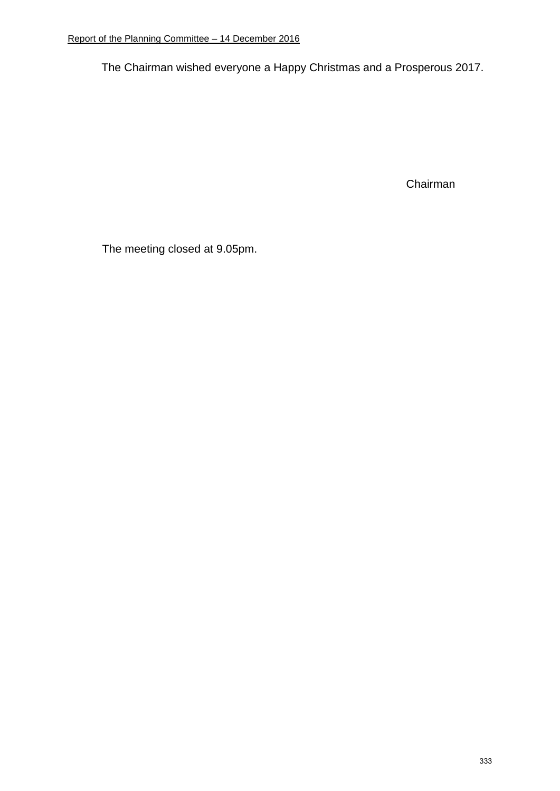The Chairman wished everyone a Happy Christmas and a Prosperous 2017.

Chairman

The meeting closed at 9.05pm.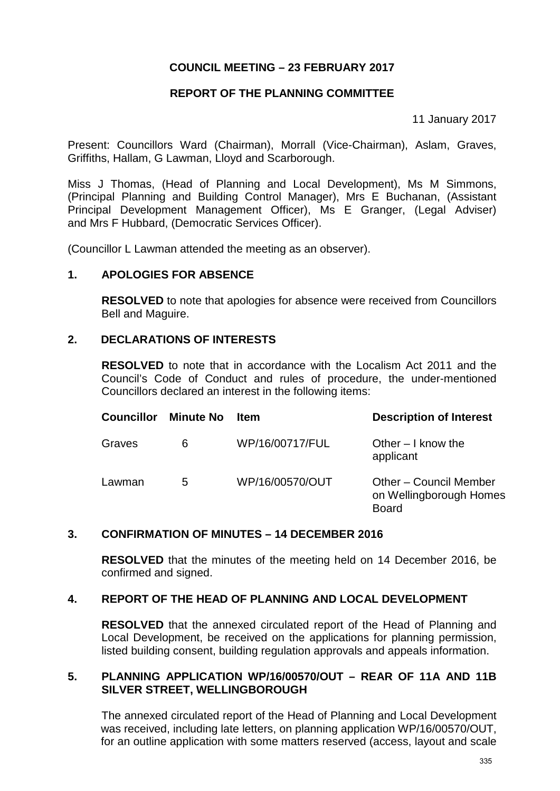# **COUNCIL MEETING – 23 FEBRUARY 2017**

# **REPORT OF THE PLANNING COMMITTEE**

11 January 2017

Present: Councillors Ward (Chairman), Morrall (Vice-Chairman), Aslam, Graves, Griffiths, Hallam, G Lawman, Lloyd and Scarborough.

Miss J Thomas, (Head of Planning and Local Development), Ms M Simmons, (Principal Planning and Building Control Manager), Mrs E Buchanan, (Assistant Principal Development Management Officer), Ms E Granger, (Legal Adviser) and Mrs F Hubbard, (Democratic Services Officer).

(Councillor L Lawman attended the meeting as an observer).

## **1. APOLOGIES FOR ABSENCE**

**RESOLVED** to note that apologies for absence were received from Councillors Bell and Maguire.

# **2. DECLARATIONS OF INTERESTS**

**RESOLVED** to note that in accordance with the Localism Act 2011 and the Council's Code of Conduct and rules of procedure, the under-mentioned Councillors declared an interest in the following items:

| <b>Councillor</b> | <b>Minute No</b> | <b>Item</b>     | <b>Description of Interest</b>                                    |
|-------------------|------------------|-----------------|-------------------------------------------------------------------|
| Graves            | 6                | WP/16/00717/FUL | Other $-1$ know the<br>applicant                                  |
| Lawman            | 5                | WP/16/00570/OUT | Other – Council Member<br>on Wellingborough Homes<br><b>Board</b> |

## **3. CONFIRMATION OF MINUTES – 14 DECEMBER 2016**

**RESOLVED** that the minutes of the meeting held on 14 December 2016, be confirmed and signed.

## **4. REPORT OF THE HEAD OF PLANNING AND LOCAL DEVELOPMENT**

**RESOLVED** that the annexed circulated report of the Head of Planning and Local Development, be received on the applications for planning permission, listed building consent, building regulation approvals and appeals information.

#### **5. PLANNING APPLICATION WP/16/00570/OUT – REAR OF 11A AND 11B SILVER STREET, WELLINGBOROUGH**

The annexed circulated report of the Head of Planning and Local Development was received, including late letters, on planning application WP/16/00570/OUT, for an outline application with some matters reserved (access, layout and scale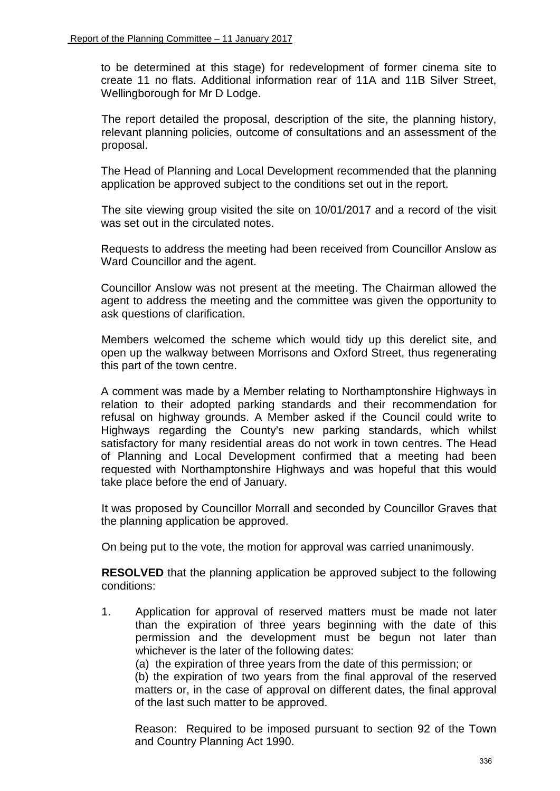to be determined at this stage) for redevelopment of former cinema site to create 11 no flats. Additional information rear of 11A and 11B Silver Street, Wellingborough for Mr D Lodge.

The report detailed the proposal, description of the site, the planning history, relevant planning policies, outcome of consultations and an assessment of the proposal.

The Head of Planning and Local Development recommended that the planning application be approved subject to the conditions set out in the report.

 The site viewing group visited the site on 10/01/2017 and a record of the visit was set out in the circulated notes.

 Requests to address the meeting had been received from Councillor Anslow as Ward Councillor and the agent.

Councillor Anslow was not present at the meeting. The Chairman allowed the agent to address the meeting and the committee was given the opportunity to ask questions of clarification.

 Members welcomed the scheme which would tidy up this derelict site, and open up the walkway between Morrisons and Oxford Street, thus regenerating this part of the town centre.

A comment was made by a Member relating to Northamptonshire Highways in relation to their adopted parking standards and their recommendation for refusal on highway grounds. A Member asked if the Council could write to Highways regarding the County's new parking standards, which whilst satisfactory for many residential areas do not work in town centres. The Head of Planning and Local Development confirmed that a meeting had been requested with Northamptonshire Highways and was hopeful that this would take place before the end of January.

 It was proposed by Councillor Morrall and seconded by Councillor Graves that the planning application be approved.

On being put to the vote, the motion for approval was carried unanimously.

**RESOLVED** that the planning application be approved subject to the following conditions:

1. Application for approval of reserved matters must be made not later than the expiration of three years beginning with the date of this permission and the development must be begun not later than whichever is the later of the following dates:

(a) the expiration of three years from the date of this permission; or

(b) the expiration of two years from the final approval of the reserved matters or, in the case of approval on different dates, the final approval of the last such matter to be approved.

Reason: Required to be imposed pursuant to section 92 of the Town and Country Planning Act 1990.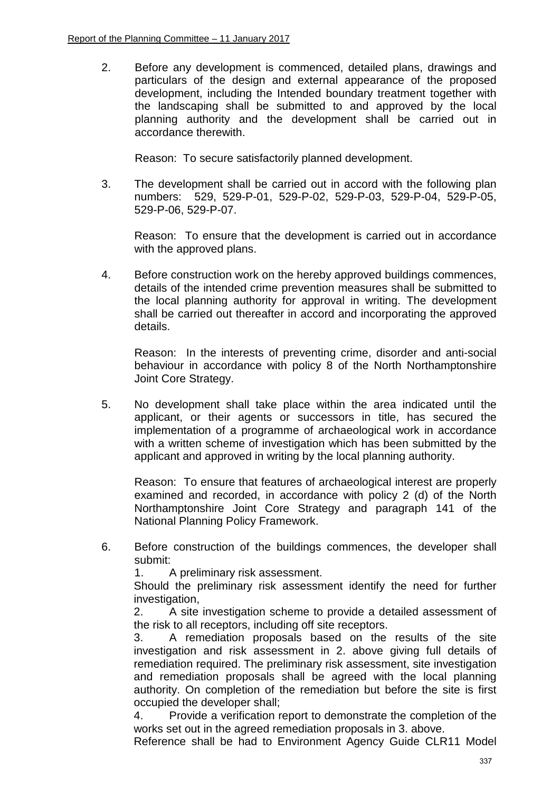2. Before any development is commenced, detailed plans, drawings and particulars of the design and external appearance of the proposed development, including the Intended boundary treatment together with the landscaping shall be submitted to and approved by the local planning authority and the development shall be carried out in accordance therewith.

Reason: To secure satisfactorily planned development.

3. The development shall be carried out in accord with the following plan numbers: 529, 529-P-01, 529-P-02, 529-P-03, 529-P-04, 529-P-05, 529-P-06, 529-P-07.

Reason: To ensure that the development is carried out in accordance with the approved plans.

4. Before construction work on the hereby approved buildings commences, details of the intended crime prevention measures shall be submitted to the local planning authority for approval in writing. The development shall be carried out thereafter in accord and incorporating the approved details.

Reason: In the interests of preventing crime, disorder and anti-social behaviour in accordance with policy 8 of the North Northamptonshire Joint Core Strategy.

5. No development shall take place within the area indicated until the applicant, or their agents or successors in title, has secured the implementation of a programme of archaeological work in accordance with a written scheme of investigation which has been submitted by the applicant and approved in writing by the local planning authority.

Reason: To ensure that features of archaeological interest are properly examined and recorded, in accordance with policy 2 (d) of the North Northamptonshire Joint Core Strategy and paragraph 141 of the National Planning Policy Framework.

6. Before construction of the buildings commences, the developer shall submit:

1. A preliminary risk assessment.

Should the preliminary risk assessment identify the need for further investigation,

2. A site investigation scheme to provide a detailed assessment of the risk to all receptors, including off site receptors.

3. A remediation proposals based on the results of the site investigation and risk assessment in 2. above giving full details of remediation required. The preliminary risk assessment, site investigation and remediation proposals shall be agreed with the local planning authority. On completion of the remediation but before the site is first occupied the developer shall;

4. Provide a verification report to demonstrate the completion of the works set out in the agreed remediation proposals in 3. above.

Reference shall be had to Environment Agency Guide CLR11 Model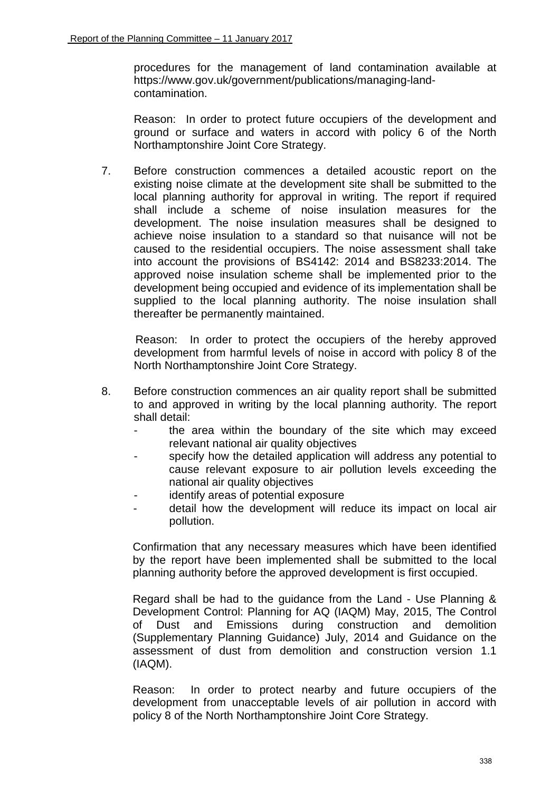procedures for the management of land contamination available at https://www.gov.uk/government/publications/managing-landcontamination.

Reason: In order to protect future occupiers of the development and ground or surface and waters in accord with policy 6 of the North Northamptonshire Joint Core Strategy.

7. Before construction commences a detailed acoustic report on the existing noise climate at the development site shall be submitted to the local planning authority for approval in writing. The report if required shall include a scheme of noise insulation measures for the development. The noise insulation measures shall be designed to achieve noise insulation to a standard so that nuisance will not be caused to the residential occupiers. The noise assessment shall take into account the provisions of BS4142: 2014 and BS8233:2014. The approved noise insulation scheme shall be implemented prior to the development being occupied and evidence of its implementation shall be supplied to the local planning authority. The noise insulation shall thereafter be permanently maintained.

Reason: In order to protect the occupiers of the hereby approved development from harmful levels of noise in accord with policy 8 of the North Northamptonshire Joint Core Strategy.

- 8. Before construction commences an air quality report shall be submitted to and approved in writing by the local planning authority. The report shall detail:
	- the area within the boundary of the site which may exceed relevant national air quality objectives
	- specify how the detailed application will address any potential to cause relevant exposure to air pollution levels exceeding the national air quality objectives
	- identify areas of potential exposure
	- detail how the development will reduce its impact on local air pollution.

Confirmation that any necessary measures which have been identified by the report have been implemented shall be submitted to the local planning authority before the approved development is first occupied.

Regard shall be had to the guidance from the Land - Use Planning & Development Control: Planning for AQ (IAQM) May, 2015, The Control of Dust and Emissions during construction and demolition (Supplementary Planning Guidance) July, 2014 and Guidance on the assessment of dust from demolition and construction version 1.1 (IAQM).

Reason: In order to protect nearby and future occupiers of the development from unacceptable levels of air pollution in accord with policy 8 of the North Northamptonshire Joint Core Strategy.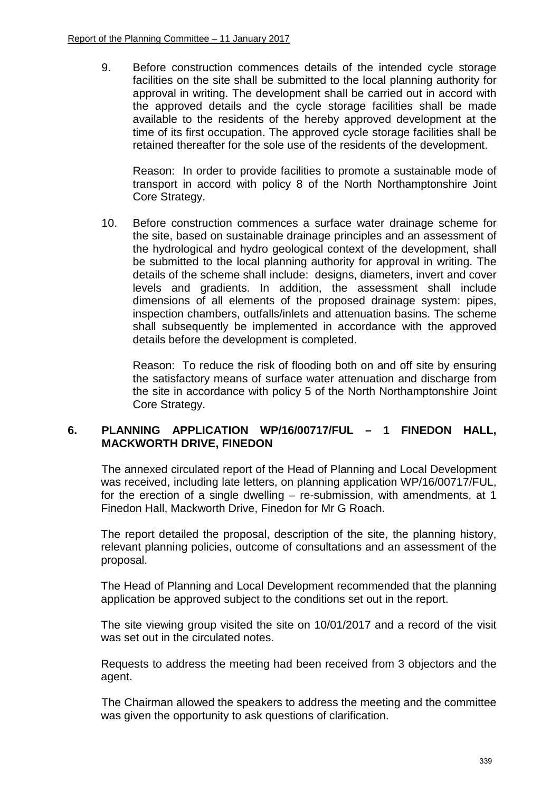9. Before construction commences details of the intended cycle storage facilities on the site shall be submitted to the local planning authority for approval in writing. The development shall be carried out in accord with the approved details and the cycle storage facilities shall be made available to the residents of the hereby approved development at the time of its first occupation. The approved cycle storage facilities shall be retained thereafter for the sole use of the residents of the development.

Reason: In order to provide facilities to promote a sustainable mode of transport in accord with policy 8 of the North Northamptonshire Joint Core Strategy.

10. Before construction commences a surface water drainage scheme for the site, based on sustainable drainage principles and an assessment of the hydrological and hydro geological context of the development, shall be submitted to the local planning authority for approval in writing. The details of the scheme shall include: designs, diameters, invert and cover levels and gradients. In addition, the assessment shall include dimensions of all elements of the proposed drainage system: pipes, inspection chambers, outfalls/inlets and attenuation basins. The scheme shall subsequently be implemented in accordance with the approved details before the development is completed.

Reason: To reduce the risk of flooding both on and off site by ensuring the satisfactory means of surface water attenuation and discharge from the site in accordance with policy 5 of the North Northamptonshire Joint Core Strategy.

## **6. PLANNING APPLICATION WP/16/00717/FUL – 1 FINEDON HALL, MACKWORTH DRIVE, FINEDON**

The annexed circulated report of the Head of Planning and Local Development was received, including late letters, on planning application WP/16/00717/FUL, for the erection of a single dwelling – re-submission, with amendments, at 1 Finedon Hall, Mackworth Drive, Finedon for Mr G Roach.

The report detailed the proposal, description of the site, the planning history, relevant planning policies, outcome of consultations and an assessment of the proposal.

The Head of Planning and Local Development recommended that the planning application be approved subject to the conditions set out in the report.

The site viewing group visited the site on 10/01/2017 and a record of the visit was set out in the circulated notes.

 Requests to address the meeting had been received from 3 objectors and the agent.

 The Chairman allowed the speakers to address the meeting and the committee was given the opportunity to ask questions of clarification.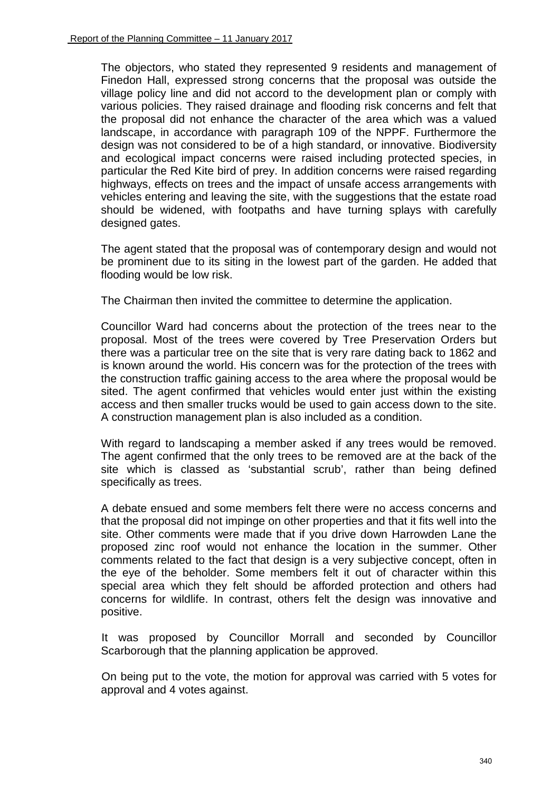The objectors, who stated they represented 9 residents and management of Finedon Hall, expressed strong concerns that the proposal was outside the village policy line and did not accord to the development plan or comply with various policies. They raised drainage and flooding risk concerns and felt that the proposal did not enhance the character of the area which was a valued landscape, in accordance with paragraph 109 of the NPPF. Furthermore the design was not considered to be of a high standard, or innovative. Biodiversity and ecological impact concerns were raised including protected species, in particular the Red Kite bird of prey. In addition concerns were raised regarding highways, effects on trees and the impact of unsafe access arrangements with vehicles entering and leaving the site, with the suggestions that the estate road should be widened, with footpaths and have turning splays with carefully designed gates.

The agent stated that the proposal was of contemporary design and would not be prominent due to its siting in the lowest part of the garden. He added that flooding would be low risk.

The Chairman then invited the committee to determine the application.

Councillor Ward had concerns about the protection of the trees near to the proposal. Most of the trees were covered by Tree Preservation Orders but there was a particular tree on the site that is very rare dating back to 1862 and is known around the world. His concern was for the protection of the trees with the construction traffic gaining access to the area where the proposal would be sited. The agent confirmed that vehicles would enter just within the existing access and then smaller trucks would be used to gain access down to the site. A construction management plan is also included as a condition.

With regard to landscaping a member asked if any trees would be removed. The agent confirmed that the only trees to be removed are at the back of the site which is classed as 'substantial scrub', rather than being defined specifically as trees.

A debate ensued and some members felt there were no access concerns and that the proposal did not impinge on other properties and that it fits well into the site. Other comments were made that if you drive down Harrowden Lane the proposed zinc roof would not enhance the location in the summer. Other comments related to the fact that design is a very subjective concept, often in the eye of the beholder. Some members felt it out of character within this special area which they felt should be afforded protection and others had concerns for wildlife. In contrast, others felt the design was innovative and positive.

 It was proposed by Councillor Morrall and seconded by Councillor Scarborough that the planning application be approved.

 On being put to the vote, the motion for approval was carried with 5 votes for approval and 4 votes against.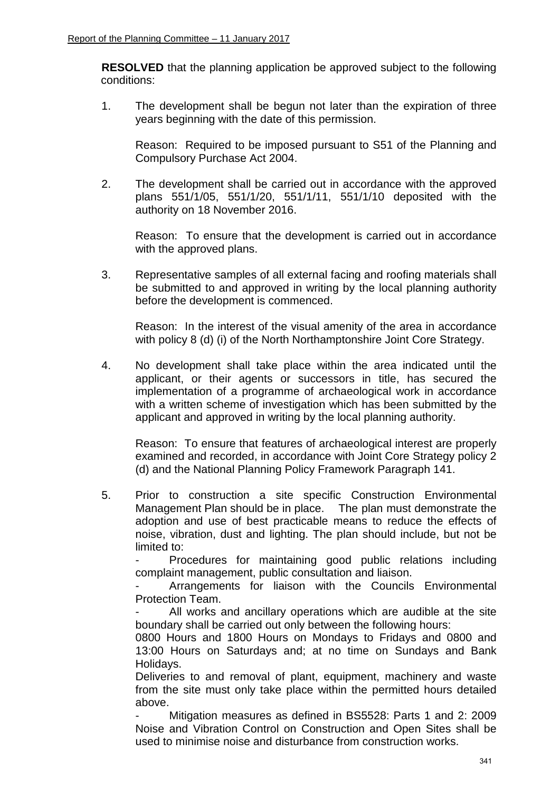**RESOLVED** that the planning application be approved subject to the following conditions:

1. The development shall be begun not later than the expiration of three years beginning with the date of this permission.

Reason: Required to be imposed pursuant to S51 of the Planning and Compulsory Purchase Act 2004.

2. The development shall be carried out in accordance with the approved plans 551/1/05, 551/1/20, 551/1/11, 551/1/10 deposited with the authority on 18 November 2016.

Reason: To ensure that the development is carried out in accordance with the approved plans.

3. Representative samples of all external facing and roofing materials shall be submitted to and approved in writing by the local planning authority before the development is commenced.

Reason: In the interest of the visual amenity of the area in accordance with policy 8 (d) (i) of the North Northamptonshire Joint Core Strategy.

4. No development shall take place within the area indicated until the applicant, or their agents or successors in title, has secured the implementation of a programme of archaeological work in accordance with a written scheme of investigation which has been submitted by the applicant and approved in writing by the local planning authority.

Reason: To ensure that features of archaeological interest are properly examined and recorded, in accordance with Joint Core Strategy policy 2 (d) and the National Planning Policy Framework Paragraph 141.

5. Prior to construction a site specific Construction Environmental Management Plan should be in place. The plan must demonstrate the adoption and use of best practicable means to reduce the effects of noise, vibration, dust and lighting. The plan should include, but not be limited to:

Procedures for maintaining good public relations including complaint management, public consultation and liaison.

Arrangements for liaison with the Councils Environmental Protection Team.

All works and ancillary operations which are audible at the site boundary shall be carried out only between the following hours:

0800 Hours and 1800 Hours on Mondays to Fridays and 0800 and 13:00 Hours on Saturdays and; at no time on Sundays and Bank Holidays.

Deliveries to and removal of plant, equipment, machinery and waste from the site must only take place within the permitted hours detailed above.

Mitigation measures as defined in BS5528: Parts 1 and 2: 2009 Noise and Vibration Control on Construction and Open Sites shall be used to minimise noise and disturbance from construction works.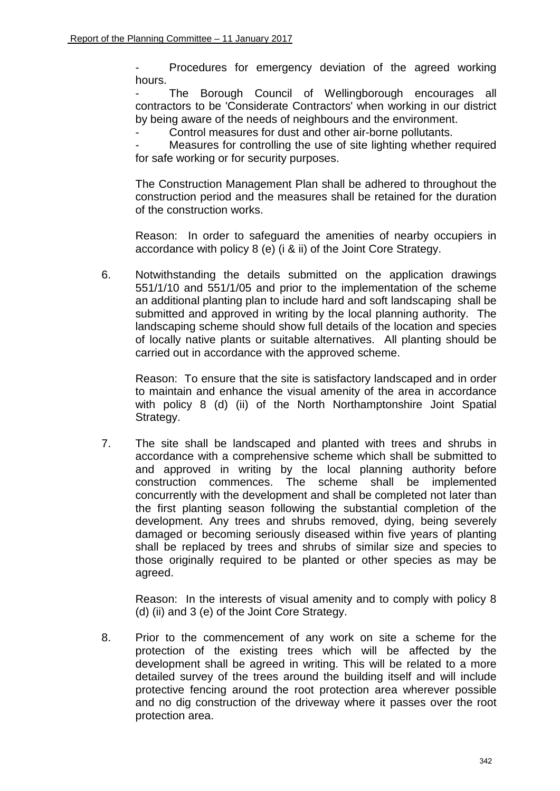Procedures for emergency deviation of the agreed working hours.

The Borough Council of Wellingborough encourages all contractors to be 'Considerate Contractors' when working in our district by being aware of the needs of neighbours and the environment.

Control measures for dust and other air-borne pollutants.

Measures for controlling the use of site lighting whether required for safe working or for security purposes.

The Construction Management Plan shall be adhered to throughout the construction period and the measures shall be retained for the duration of the construction works.

Reason: In order to safeguard the amenities of nearby occupiers in accordance with policy 8 (e) (i & ii) of the Joint Core Strategy.

6. Notwithstanding the details submitted on the application drawings 551/1/10 and 551/1/05 and prior to the implementation of the scheme an additional planting plan to include hard and soft landscaping shall be submitted and approved in writing by the local planning authority. The landscaping scheme should show full details of the location and species of locally native plants or suitable alternatives. All planting should be carried out in accordance with the approved scheme.

Reason: To ensure that the site is satisfactory landscaped and in order to maintain and enhance the visual amenity of the area in accordance with policy 8 (d) (ii) of the North Northamptonshire Joint Spatial Strategy.

7. The site shall be landscaped and planted with trees and shrubs in accordance with a comprehensive scheme which shall be submitted to and approved in writing by the local planning authority before construction commences. The scheme shall be implemented concurrently with the development and shall be completed not later than the first planting season following the substantial completion of the development. Any trees and shrubs removed, dying, being severely damaged or becoming seriously diseased within five years of planting shall be replaced by trees and shrubs of similar size and species to those originally required to be planted or other species as may be agreed.

Reason: In the interests of visual amenity and to comply with policy 8 (d) (ii) and 3 (e) of the Joint Core Strategy.

8. Prior to the commencement of any work on site a scheme for the protection of the existing trees which will be affected by the development shall be agreed in writing. This will be related to a more detailed survey of the trees around the building itself and will include protective fencing around the root protection area wherever possible and no dig construction of the driveway where it passes over the root protection area.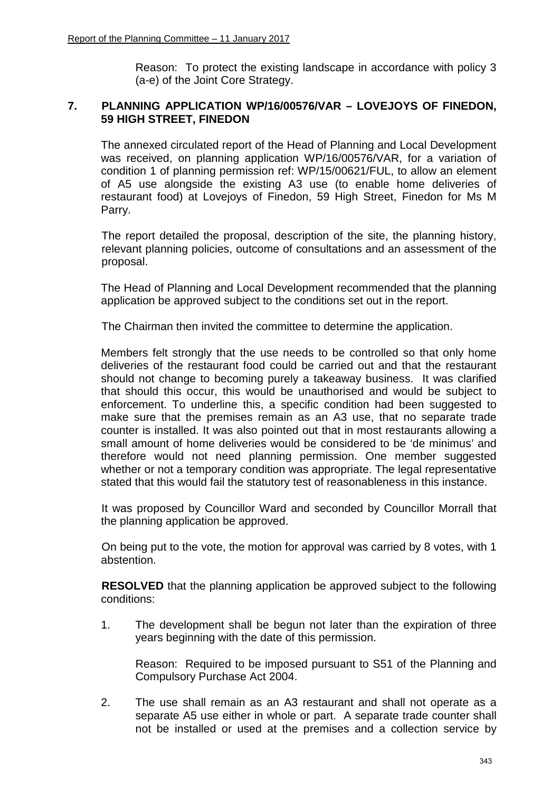Reason: To protect the existing landscape in accordance with policy 3 (a-e) of the Joint Core Strategy.

# **7. PLANNING APPLICATION WP/16/00576/VAR – LOVEJOYS OF FINEDON, 59 HIGH STREET, FINEDON**

The annexed circulated report of the Head of Planning and Local Development was received, on planning application WP/16/00576/VAR, for a variation of condition 1 of planning permission ref: WP/15/00621/FUL, to allow an element of A5 use alongside the existing A3 use (to enable home deliveries of restaurant food) at Lovejoys of Finedon, 59 High Street, Finedon for Ms M Parry.

The report detailed the proposal, description of the site, the planning history, relevant planning policies, outcome of consultations and an assessment of the proposal.

The Head of Planning and Local Development recommended that the planning application be approved subject to the conditions set out in the report.

The Chairman then invited the committee to determine the application.

Members felt strongly that the use needs to be controlled so that only home deliveries of the restaurant food could be carried out and that the restaurant should not change to becoming purely a takeaway business. It was clarified that should this occur, this would be unauthorised and would be subject to enforcement. To underline this, a specific condition had been suggested to make sure that the premises remain as an A3 use, that no separate trade counter is installed. It was also pointed out that in most restaurants allowing a small amount of home deliveries would be considered to be 'de minimus' and therefore would not need planning permission. One member suggested whether or not a temporary condition was appropriate. The legal representative stated that this would fail the statutory test of reasonableness in this instance.

 It was proposed by Councillor Ward and seconded by Councillor Morrall that the planning application be approved.

 On being put to the vote, the motion for approval was carried by 8 votes, with 1 abstention.

**RESOLVED** that the planning application be approved subject to the following conditions:

1. The development shall be begun not later than the expiration of three years beginning with the date of this permission.

Reason: Required to be imposed pursuant to S51 of the Planning and Compulsory Purchase Act 2004.

2. The use shall remain as an A3 restaurant and shall not operate as a separate A5 use either in whole or part. A separate trade counter shall not be installed or used at the premises and a collection service by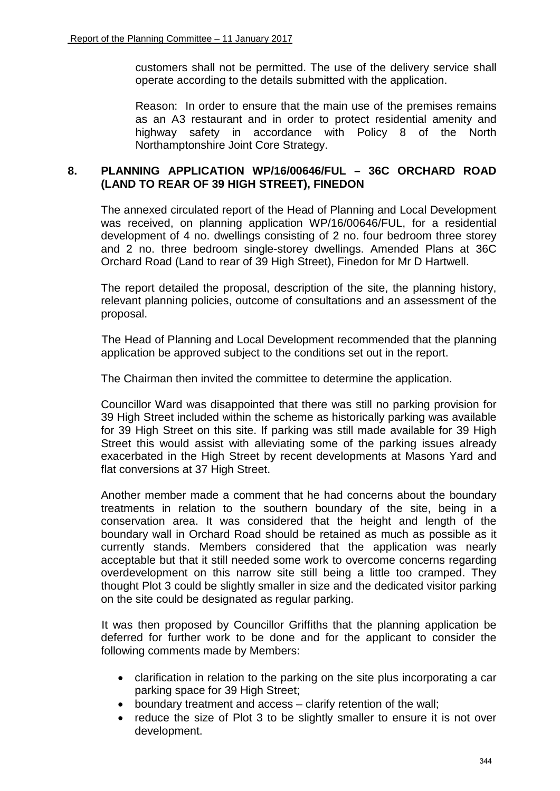customers shall not be permitted. The use of the delivery service shall operate according to the details submitted with the application.

Reason: In order to ensure that the main use of the premises remains as an A3 restaurant and in order to protect residential amenity and highway safety in accordance with Policy 8 of the North Northamptonshire Joint Core Strategy.

# **8. PLANNING APPLICATION WP/16/00646/FUL – 36C ORCHARD ROAD (LAND TO REAR OF 39 HIGH STREET), FINEDON**

The annexed circulated report of the Head of Planning and Local Development was received, on planning application WP/16/00646/FUL, for a residential development of 4 no. dwellings consisting of 2 no. four bedroom three storey and 2 no. three bedroom single-storey dwellings. Amended Plans at 36C Orchard Road (Land to rear of 39 High Street), Finedon for Mr D Hartwell.

The report detailed the proposal, description of the site, the planning history, relevant planning policies, outcome of consultations and an assessment of the proposal.

The Head of Planning and Local Development recommended that the planning application be approved subject to the conditions set out in the report.

The Chairman then invited the committee to determine the application.

Councillor Ward was disappointed that there was still no parking provision for 39 High Street included within the scheme as historically parking was available for 39 High Street on this site. If parking was still made available for 39 High Street this would assist with alleviating some of the parking issues already exacerbated in the High Street by recent developments at Masons Yard and flat conversions at 37 High Street.

Another member made a comment that he had concerns about the boundary treatments in relation to the southern boundary of the site, being in a conservation area. It was considered that the height and length of the boundary wall in Orchard Road should be retained as much as possible as it currently stands. Members considered that the application was nearly acceptable but that it still needed some work to overcome concerns regarding overdevelopment on this narrow site still being a little too cramped. They thought Plot 3 could be slightly smaller in size and the dedicated visitor parking on the site could be designated as regular parking.

It was then proposed by Councillor Griffiths that the planning application be deferred for further work to be done and for the applicant to consider the following comments made by Members:

- clarification in relation to the parking on the site plus incorporating a car parking space for 39 High Street;
- boundary treatment and access clarify retention of the wall;
- reduce the size of Plot 3 to be slightly smaller to ensure it is not over development.